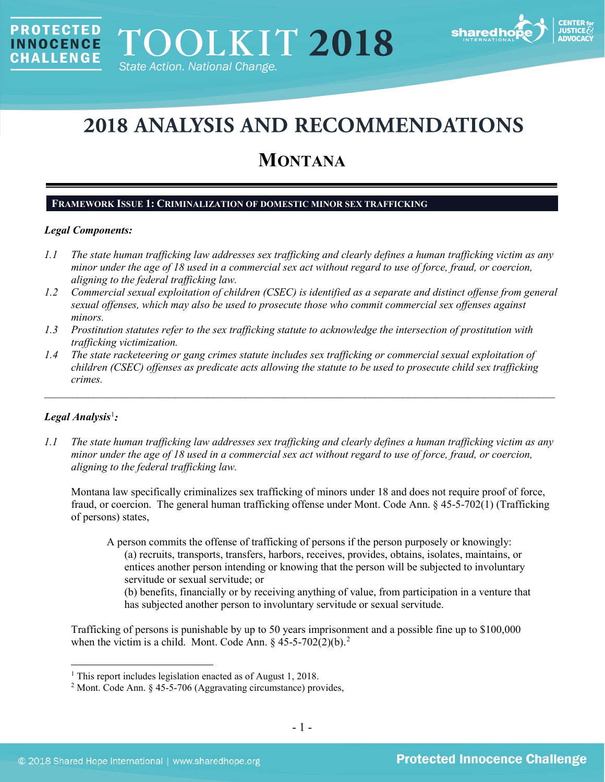

# **2018 ANALYSIS AND RECOMMENDATIONS**

# **MONTANA**

# **FRAMEWORK ISSUE 1: CRIMINALIZATION OF DOMESTIC MINOR SEX TRAFFICKING**

# *Legal Components:*

**PROTECTED** 

**INNOCENCE CHALLENGE** 

- *1.1 The state human trafficking law addresses sex trafficking and clearly defines a human trafficking victim as any minor under the age of 18 used in a commercial sex act without regard to use of force, fraud, or coercion, aligning to the federal trafficking law.*
- *1.2 Commercial sexual exploitation of children (CSEC) is identified as a separate and distinct offense from general sexual offenses, which may also be used to prosecute those who commit commercial sex offenses against minors.*
- *1.3 Prostitution statutes refer to the sex trafficking statute to acknowledge the intersection of prostitution with trafficking victimization.*
- *1.4 The state racketeering or gang crimes statute includes sex trafficking or commercial sexual exploitation of children (CSEC) offenses as predicate acts allowing the statute to be used to prosecute child sex trafficking crimes.*

 $\mathcal{L}_\mathcal{L} = \mathcal{L}_\mathcal{L} = \mathcal{L}_\mathcal{L} = \mathcal{L}_\mathcal{L} = \mathcal{L}_\mathcal{L} = \mathcal{L}_\mathcal{L} = \mathcal{L}_\mathcal{L} = \mathcal{L}_\mathcal{L} = \mathcal{L}_\mathcal{L} = \mathcal{L}_\mathcal{L} = \mathcal{L}_\mathcal{L} = \mathcal{L}_\mathcal{L} = \mathcal{L}_\mathcal{L} = \mathcal{L}_\mathcal{L} = \mathcal{L}_\mathcal{L} = \mathcal{L}_\mathcal{L} = \mathcal{L}_\mathcal{L}$ 

# *Legal Analysis*[1](#page-0-0) *:*

*1.1 The state human trafficking law addresses sex trafficking and clearly defines a human trafficking victim as any minor under the age of 18 used in a commercial sex act without regard to use of force, fraud, or coercion, aligning to the federal trafficking law.*

Montana law specifically criminalizes sex trafficking of minors under 18 and does not require proof of force, fraud, or coercion. The general human trafficking offense under Mont. Code Ann. § 45-5-702(1) (Trafficking of persons) states,

A person commits the offense of trafficking of persons if the person purposely or knowingly: (a) recruits, transports, transfers, harbors, receives, provides, obtains, isolates, maintains, or entices another person intending or knowing that the person will be subjected to involuntary servitude or sexual servitude; or

<span id="page-0-2"></span>(b) benefits, financially or by receiving anything of value, from participation in a venture that has subjected another person to involuntary servitude or sexual servitude.

Trafficking of persons is punishable by up to 50 years imprisonment and a possible fine up to \$100,000 when the victim is a child. Mont. Code Ann.  $\S$  45-5-70[2](#page-0-1)(2)(b).<sup>2</sup>

<span id="page-0-0"></span><sup>&</sup>lt;sup>1</sup> This report includes legislation enacted as of August 1, 2018.

<span id="page-0-1"></span><sup>2</sup> Mont. Code Ann. § 45-5-706 (Aggravating circumstance) provides,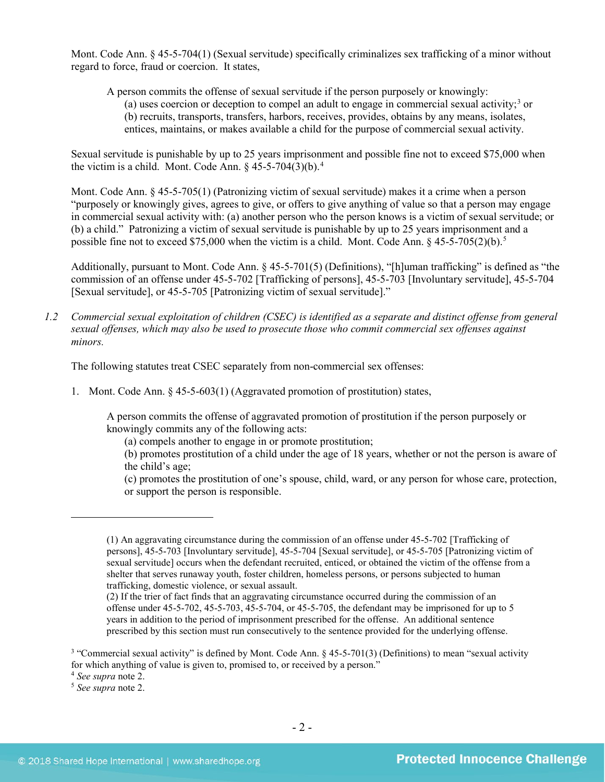Mont. Code Ann. § 45-5-704(1) (Sexual servitude) specifically criminalizes sex trafficking of a minor without regard to force, fraud or coercion. It states,

A person commits the offense of sexual servitude if the person purposely or knowingly:

(a) uses coercion or deception to compel an adult to engage in commercial sexual activity;<sup>[3](#page-1-0)</sup> or (b) recruits, transports, transfers, harbors, receives, provides, obtains by any means, isolates, entices, maintains, or makes available a child for the purpose of commercial sexual activity.

Sexual servitude is punishable by up to 25 years imprisonment and possible fine not to exceed \$75,000 when the victim is a child. Mont. Code Ann.  $\S$  [4](#page-1-1)5-5-704(3)(b).<sup>4</sup>

Mont. Code Ann. § 45-5-705(1) (Patronizing victim of sexual servitude) makes it a crime when a person "purposely or knowingly gives, agrees to give, or offers to give anything of value so that a person may engage in commercial sexual activity with: (a) another person who the person knows is a victim of sexual servitude; or (b) a child." Patronizing a victim of sexual servitude is punishable by up to 25 years imprisonment and a possible fine not to exceed \$75,000 when the victim is a child. Mont. Code Ann. § 45-5-705(2)(b).[5](#page-1-2)

Additionally, pursuant to Mont. Code Ann. § 45-5-701(5) (Definitions), "[h]uman trafficking" is defined as "the commission of an offense under 45-5-702 [Trafficking of persons], 45-5-703 [Involuntary servitude], 45-5-704 [Sexual servitude], or 45-5-705 [Patronizing victim of sexual servitude]."

*1.2 Commercial sexual exploitation of children (CSEC) is identified as a separate and distinct offense from general sexual offenses, which may also be used to prosecute those who commit commercial sex offenses against minors.*

The following statutes treat CSEC separately from non-commercial sex offenses:

1. Mont. Code Ann. § 45-5-603(1) (Aggravated promotion of prostitution) states,

A person commits the offense of aggravated promotion of prostitution if the person purposely or knowingly commits any of the following acts:

(a) compels another to engage in or promote prostitution;

(b) promotes prostitution of a child under the age of 18 years, whether or not the person is aware of the child's age;

(c) promotes the prostitution of one's spouse, child, ward, or any person for whose care, protection, or support the person is responsible.

 $\overline{a}$ 

<sup>(1)</sup> An aggravating circumstance during the commission of an offense under 45-5-702 [Trafficking of persons], 45-5-703 [Involuntary servitude], 45-5-704 [Sexual servitude], or 45-5-705 [Patronizing victim of sexual servitude] occurs when the defendant recruited, enticed, or obtained the victim of the offense from a shelter that serves runaway youth, foster children, homeless persons, or persons subjected to human trafficking, domestic violence, or sexual assault.

<sup>(2)</sup> If the trier of fact finds that an aggravating circumstance occurred during the commission of an offense under 45-5-702, 45-5-703, 45-5-704, or 45-5-705, the defendant may be imprisoned for up to 5 years in addition to the period of imprisonment prescribed for the offense. An additional sentence prescribed by this section must run consecutively to the sentence provided for the underlying offense.

<span id="page-1-0"></span><sup>&</sup>lt;sup>3</sup> "Commercial sexual activity" is defined by Mont. Code Ann. § 45-5-701(3) (Definitions) to mean "sexual activity for which anything of value is given to, promised to, or received by a person."

<span id="page-1-1"></span><sup>4</sup> *See supra* note [2.](#page-0-2)

<span id="page-1-2"></span><sup>5</sup> *See supra* note [2.](#page-0-2)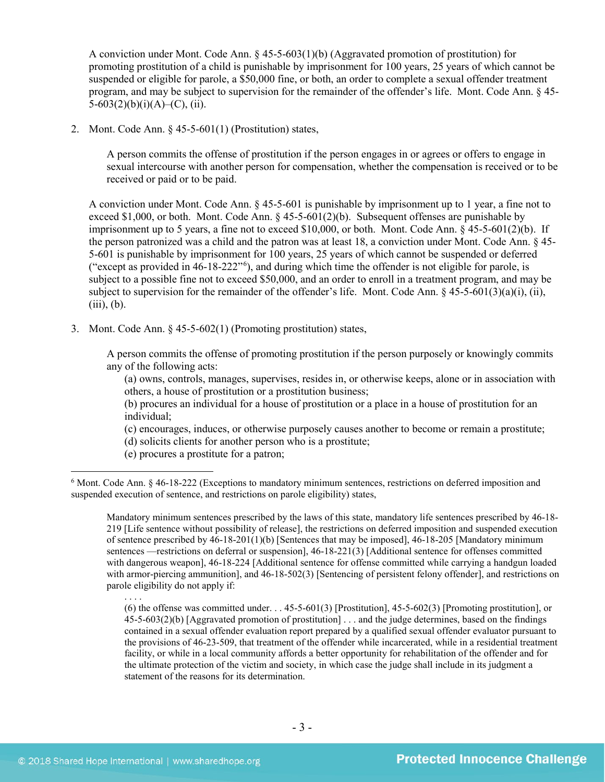A conviction under Mont. Code Ann. § 45-5-603(1)(b) (Aggravated promotion of prostitution) for promoting prostitution of a child is punishable by imprisonment for 100 years, 25 years of which cannot be suspended or eligible for parole, a \$50,000 fine, or both, an order to complete a sexual offender treatment program, and may be subject to supervision for the remainder of the offender's life. Mont. Code Ann. § 45- 5-603(2)(b)(i)(A)–(C), (ii).

2. Mont. Code Ann. § 45-5-601(1) (Prostitution) states,

A person commits the offense of prostitution if the person engages in or agrees or offers to engage in sexual intercourse with another person for compensation, whether the compensation is received or to be received or paid or to be paid.

A conviction under Mont. Code Ann. § 45-5-601 is punishable by imprisonment up to 1 year, a fine not to exceed \$1,000, or both. Mont. Code Ann.  $\S$  45-5-601(2)(b). Subsequent offenses are punishable by imprisonment up to 5 years, a fine not to exceed \$10,000, or both. Mont. Code Ann.  $\hat{\S}$  45-5-601(2)(b). If the person patronized was a child and the patron was at least 18, a conviction under Mont. Code Ann. § 45- 5-601 is punishable by imprisonment for 100 years, 25 years of which cannot be suspended or deferred ("except as provided in 46-18-222"[6](#page-2-0) ), and during which time the offender is not eligible for parole, is subject to a possible fine not to exceed \$50,000, and an order to enroll in a treatment program, and may be subject to supervision for the remainder of the offender's life. Mont. Code Ann.  $\S$  45-5-601(3)(a)(i), (ii),  $(iii), (b).$ 

3. Mont. Code Ann. § 45-5-602(1) (Promoting prostitution) states,

<span id="page-2-1"></span>A person commits the offense of promoting prostitution if the person purposely or knowingly commits any of the following acts:

(a) owns, controls, manages, supervises, resides in, or otherwise keeps, alone or in association with others, a house of prostitution or a prostitution business;

(b) procures an individual for a house of prostitution or a place in a house of prostitution for an individual;

(c) encourages, induces, or otherwise purposely causes another to become or remain a prostitute;

(d) solicits clients for another person who is a prostitute;

(e) procures a prostitute for a patron;

Mandatory minimum sentences prescribed by the laws of this state, mandatory life sentences prescribed by 46-18- 219 [Life sentence without possibility of release], the restrictions on deferred imposition and suspended execution of sentence prescribed by 46-18-201(1)(b) [Sentences that may be imposed], 46-18-205 [Mandatory minimum sentences —restrictions on deferral or suspension], 46-18-221(3) [Additional sentence for offenses committed with dangerous weapon], 46-18-224 [Additional sentence for offense committed while carrying a handgun loaded with armor-piercing ammunition], and  $46-18-502(3)$  [Sentencing of persistent felony offender], and restrictions on parole eligibility do not apply if:

. . . . (6) the offense was committed under. . . 45-5-601(3) [Prostitution], 45-5-602(3) [Promoting prostitution], or 45-5-603(2)(b) [Aggravated promotion of prostitution] . . . and the judge determines, based on the findings contained in a sexual offender evaluation report prepared by a qualified sexual offender evaluator pursuant to the provisions of 46-23-509, that treatment of the offender while incarcerated, while in a residential treatment facility, or while in a local community affords a better opportunity for rehabilitation of the offender and for the ultimate protection of the victim and society, in which case the judge shall include in its judgment a statement of the reasons for its determination.

<span id="page-2-0"></span> <sup>6</sup> Mont. Code Ann. § 46-18-222 (Exceptions to mandatory minimum sentences, restrictions on deferred imposition and suspended execution of sentence, and restrictions on parole eligibility) states,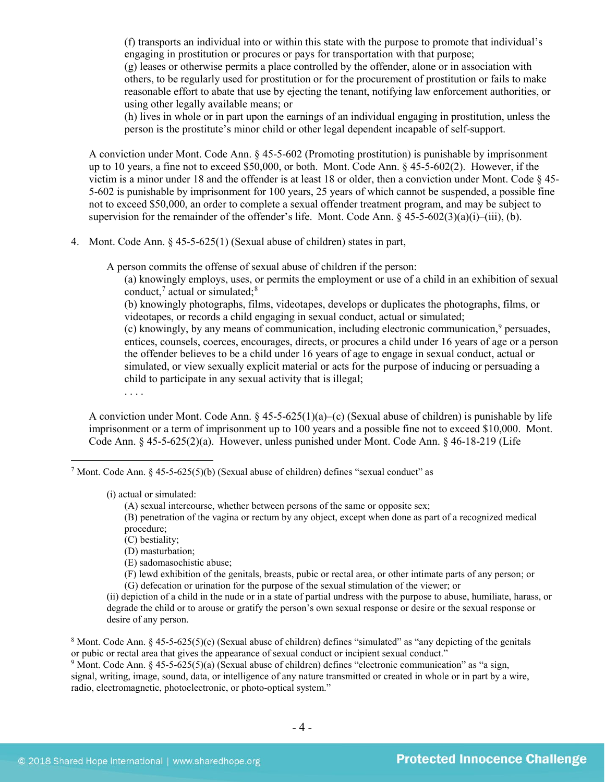(f) transports an individual into or within this state with the purpose to promote that individual's engaging in prostitution or procures or pays for transportation with that purpose; (g) leases or otherwise permits a place controlled by the offender, alone or in association with others, to be regularly used for prostitution or for the procurement of prostitution or fails to make reasonable effort to abate that use by ejecting the tenant, notifying law enforcement authorities, or using other legally available means; or

(h) lives in whole or in part upon the earnings of an individual engaging in prostitution, unless the person is the prostitute's minor child or other legal dependent incapable of self-support.

A conviction under Mont. Code Ann. § 45-5-602 (Promoting prostitution) is punishable by imprisonment up to 10 years, a fine not to exceed \$50,000, or both. Mont. Code Ann. § 45-5-602(2). However, if the victim is a minor under 18 and the offender is at least 18 or older, then a conviction under Mont. Code § 45- 5-602 is punishable by imprisonment for 100 years, 25 years of which cannot be suspended, a possible fine not to exceed \$50,000, an order to complete a sexual offender treatment program, and may be subject to supervision for the remainder of the offender's life. Mont. Code Ann.  $\S 45-5-602(3)(a)(i)$ –(iii), (b).

4. Mont. Code Ann. § 45-5-625(1) (Sexual abuse of children) states in part,

A person commits the offense of sexual abuse of children if the person:

(a) knowingly employs, uses, or permits the employment or use of a child in an exhibition of sexual conduct,<sup>[7](#page-3-0)</sup> actual or simulated; $8$ 

<span id="page-3-6"></span><span id="page-3-5"></span><span id="page-3-4"></span>(b) knowingly photographs, films, videotapes, develops or duplicates the photographs, films, or videotapes, or records a child engaging in sexual conduct, actual or simulated;

(c) knowingly, by any means of communication, including electronic communication, $9$  persuades, entices, counsels, coerces, encourages, directs, or procures a child under 16 years of age or a person the offender believes to be a child under 16 years of age to engage in sexual conduct, actual or simulated, or view sexually explicit material or acts for the purpose of inducing or persuading a child to participate in any sexual activity that is illegal;

<span id="page-3-3"></span>. . . .

A conviction under Mont. Code Ann.  $\S$  45-5-625(1)(a)–(c) (Sexual abuse of children) is punishable by life imprisonment or a term of imprisonment up to 100 years and a possible fine not to exceed \$10,000. Mont. Code Ann. § 45-5-625(2)(a). However, unless punished under Mont. Code Ann. § 46-18-219 (Life

<span id="page-3-0"></span><sup>7</sup> Mont. Code Ann. § 45-5-625(5)(b) (Sexual abuse of children) defines "sexual conduct" as

(i) actual or simulated:

(A) sexual intercourse, whether between persons of the same or opposite sex;

(B) penetration of the vagina or rectum by any object, except when done as part of a recognized medical procedure;

(C) bestiality;

(D) masturbation;

(E) sadomasochistic abuse;

(F) lewd exhibition of the genitals, breasts, pubic or rectal area, or other intimate parts of any person; or (G) defecation or urination for the purpose of the sexual stimulation of the viewer; or

(ii) depiction of a child in the nude or in a state of partial undress with the purpose to abuse, humiliate, harass, or degrade the child or to arouse or gratify the person's own sexual response or desire or the sexual response or desire of any person.

<span id="page-3-1"></span><sup>8</sup> Mont. Code Ann. § 45-5-625(5)(c) (Sexual abuse of children) defines "simulated" as "any depicting of the genitals or pubic or rectal area that gives the appearance of sexual conduct or incipient sexual conduct."

<span id="page-3-2"></span><sup>9</sup> Mont. Code Ann. § 45-5-625(5)(a) (Sexual abuse of children) defines "electronic communication" as "a sign, signal, writing, image, sound, data, or intelligence of any nature transmitted or created in whole or in part by a wire, radio, electromagnetic, photoelectronic, or photo-optical system."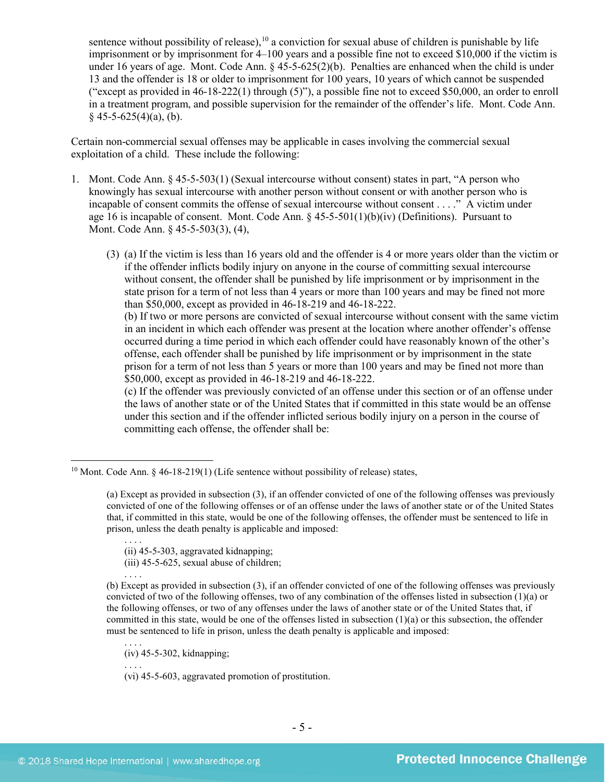sentence without possibility of release), <sup>[10](#page-4-0)</sup> a conviction for sexual abuse of children is punishable by life imprisonment or by imprisonment for 4–100 years and a possible fine not to exceed \$10,000 if the victim is under 16 years of age. Mont. Code Ann. § 45-5-625(2)(b). Penalties are enhanced when the child is under 13 and the offender is 18 or older to imprisonment for 100 years, 10 years of which cannot be suspended ("except as provided in 46-18-222(1) through (5)"), a possible fine not to exceed \$50,000, an order to enroll in a treatment program, and possible supervision for the remainder of the offender's life. Mont. Code Ann.  $§$  45-5-625(4)(a), (b).

Certain non-commercial sexual offenses may be applicable in cases involving the commercial sexual exploitation of a child. These include the following:

- 1. Mont. Code Ann. § 45-5-503(1) (Sexual intercourse without consent) states in part, "A person who knowingly has sexual intercourse with another person without consent or with another person who is incapable of consent commits the offense of sexual intercourse without consent . . . ." A victim under age 16 is incapable of consent. Mont. Code Ann.  $\frac{6}{5}$  45-5-501(1)(b)(iv) (Definitions). Pursuant to Mont. Code Ann. § 45-5-503(3), (4),
	- (3) (a) If the victim is less than 16 years old and the offender is 4 or more years older than the victim or if the offender inflicts bodily injury on anyone in the course of committing sexual intercourse without consent, the offender shall be punished by life imprisonment or by imprisonment in the state prison for a term of not less than 4 years or more than 100 years and may be fined not more than \$50,000, except as provided in 46-18-219 and 46-18-222.

(b) If two or more persons are convicted of sexual intercourse without consent with the same victim in an incident in which each offender was present at the location where another offender's offense occurred during a time period in which each offender could have reasonably known of the other's offense, each offender shall be punished by life imprisonment or by imprisonment in the state prison for a term of not less than 5 years or more than 100 years and may be fined not more than \$50,000, except as provided in [46-18-219](http://data.opi.mt.gov/bills/mca/46/18/46-18-219.htm) and [46-18-222.](http://data.opi.mt.gov/bills/mca/46/18/46-18-222.htm)

(c) If the offender was previously convicted of an offense under this section or of an offense under the laws of another state or of the United States that if committed in this state would be an offense under this section and if the offender inflicted serious bodily injury on a person in the course of committing each offense, the offender shall be:

. . . . (ii) 45-5-303, aggravated kidnapping;

(iii) 45-5-625, sexual abuse of children;

(b) Except as provided in subsection (3), if an offender convicted of one of the following offenses was previously convicted of two of the following offenses, two of any combination of the offenses listed in subsection (1)(a) or the following offenses, or two of any offenses under the laws of another state or of the United States that, if committed in this state, would be one of the offenses listed in subsection (1)(a) or this subsection, the offender must be sentenced to life in prison, unless the death penalty is applicable and imposed:

. . . . (iv) 45-5-302, kidnapping;

. . . . (vi) 45-5-603, aggravated promotion of prostitution.

. . . .

<span id="page-4-0"></span> $10$  Mont. Code Ann.  $\frac{6}{5}$  46-18-219(1) (Life sentence without possibility of release) states,

<sup>(</sup>a) Except as provided in subsection (3), if an offender convicted of one of the following offenses was previously convicted of one of the following offenses or of an offense under the laws of another state or of the United States that, if committed in this state, would be one of the following offenses, the offender must be sentenced to life in prison, unless the death penalty is applicable and imposed: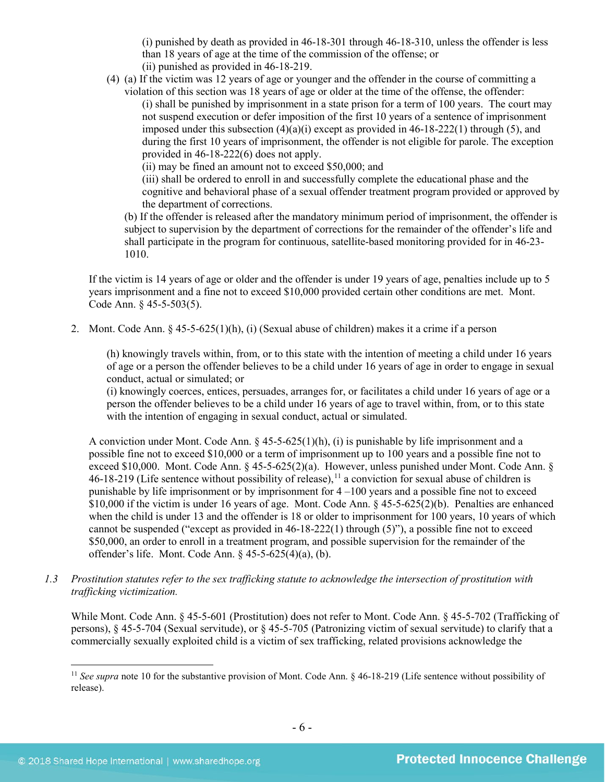(i) punished by death as provided in 46-18-301 through 46-18-310, unless the offender is less than 18 years of age at the time of the commission of the offense; or (ii) punished as provided in 46-18-219.

(4) (a) If the victim was 12 years of age or younger and the offender in the course of committing a violation of this section was 18 years of age or older at the time of the offense, the offender:

(i) shall be punished by imprisonment in a state prison for a term of 100 years. The court may not suspend execution or defer imposition of the first 10 years of a sentence of imprisonment imposed under this subsection  $(4)(a)(i)$  except as provided in  $46-18-222(1)$  through (5), and during the first 10 years of imprisonment, the offender is not eligible for parole. The exception provided in 46-18-222(6) does not apply.

(ii) may be fined an amount not to exceed \$50,000; and

(iii) shall be ordered to enroll in and successfully complete the educational phase and the cognitive and behavioral phase of a sexual offender treatment program provided or approved by the department of corrections.

(b) If the offender is released after the mandatory minimum period of imprisonment, the offender is subject to supervision by the department of corrections for the remainder of the offender's life and shall participate in the program for continuous, satellite-based monitoring provided for in [46-23-](http://data.opi.mt.gov/bills/mca/46/23/46-23-1010.htm) [1010.](http://data.opi.mt.gov/bills/mca/46/23/46-23-1010.htm)

If the victim is 14 years of age or older and the offender is under 19 years of age, penalties include up to 5 years imprisonment and a fine not to exceed \$10,000 provided certain other conditions are met. Mont. Code Ann. § 45-5-503(5).

2. Mont. Code Ann. § 45-5-625(1)(h), (i) (Sexual abuse of children) makes it a crime if a person

(h) knowingly travels within, from, or to this state with the intention of meeting a child under 16 years of age or a person the offender believes to be a child under 16 years of age in order to engage in sexual conduct, actual or simulated; or

(i) knowingly coerces, entices, persuades, arranges for, or facilitates a child under 16 years of age or a person the offender believes to be a child under 16 years of age to travel within, from, or to this state with the intention of engaging in sexual conduct, actual or simulated.

A conviction under Mont. Code Ann.  $\S 45-5-625(1)(h)$ , (i) is punishable by life imprisonment and a possible fine not to exceed \$10,000 or a term of imprisonment up to 100 years and a possible fine not to exceed \$10,000. Mont. Code Ann. § 45-5-625(2)(a). However, unless punished under Mont. Code Ann. §  $46-18-219$  (Life sentence without possibility of release), <sup>[11](#page-5-0)</sup> a conviction for sexual abuse of children is punishable by life imprisonment or by imprisonment for 4 –100 years and a possible fine not to exceed \$10,000 if the victim is under 16 years of age. Mont. Code Ann. § 45-5-625(2)(b). Penalties are enhanced when the child is under 13 and the offender is 18 or older to imprisonment for 100 years, 10 years of which cannot be suspended ("except as provided in 46-18-222(1) through (5)"), a possible fine not to exceed \$50,000, an order to enroll in a treatment program, and possible supervision for the remainder of the offender's life. Mont. Code Ann. § 45-5-625(4)(a), (b).

*1.3 Prostitution statutes refer to the sex trafficking statute to acknowledge the intersection of prostitution with trafficking victimization.* 

While Mont. Code Ann. § 45-5-601 (Prostitution) does not refer to Mont. Code Ann. § 45-5-702 (Trafficking of persons), § 45-5-704 (Sexual servitude), or § 45-5-705 (Patronizing victim of sexual servitude) to clarify that a commercially sexually exploited child is a victim of sex trafficking, related provisions acknowledge the

<span id="page-5-0"></span><sup>&</sup>lt;sup>11</sup> See supra note [10](#page-3-3) for the substantive provision of Mont. Code Ann. § 46-18-219 (Life sentence without possibility of release).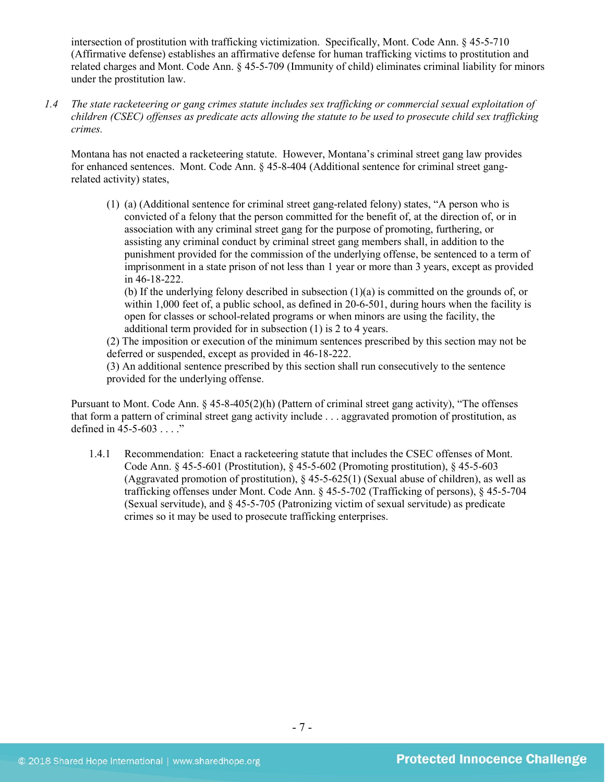intersection of prostitution with trafficking victimization. Specifically, Mont. Code Ann. § 45-5-710 (Affirmative defense) establishes an affirmative defense for human trafficking victims to prostitution and related charges and Mont. Code Ann. § 45-5-709 (Immunity of child) eliminates criminal liability for minors under the prostitution law.

*1.4 The state racketeering or gang crimes statute includes sex trafficking or commercial sexual exploitation of children (CSEC) offenses as predicate acts allowing the statute to be used to prosecute child sex trafficking crimes.* 

Montana has not enacted a racketeering statute. However, Montana's criminal street gang law provides for enhanced sentences. Mont. Code Ann. § 45-8-404 (Additional sentence for criminal street gangrelated activity) states,

(1) (a) (Additional sentence for criminal street gang-related felony) states, "A person who is convicted of a felony that the person committed for the benefit of, at the direction of, or in association with any criminal street gang for the purpose of promoting, furthering, or assisting any criminal conduct by criminal street gang members shall, in addition to the punishment provided for the commission of the underlying offense, be sentenced to a term of imprisonment in a state prison of not less than 1 year or more than 3 years, except as provided in 46-18-222.

(b) If the underlying felony described in subsection (1)(a) is committed on the grounds of, or within 1,000 feet of, a public school, as defined in 20-6-501, during hours when the facility is open for classes or school-related programs or when minors are using the facility, the additional term provided for in subsection (1) is 2 to 4 years.

(2) The imposition or execution of the minimum sentences prescribed by this section may not be deferred or suspended, except as provided in 46-18-222.

(3) An additional sentence prescribed by this section shall run consecutively to the sentence provided for the underlying offense.

Pursuant to Mont. Code Ann. § 45-8-405(2)(h) (Pattern of criminal street gang activity), "The offenses that form a pattern of criminal street gang activity include . . . aggravated promotion of prostitution, as defined in 45-5-603 . . . ."

1.4.1 Recommendation: Enact a racketeering statute that includes the CSEC offenses of Mont. Code Ann. § 45-5-601 (Prostitution), § 45-5-602 (Promoting prostitution), § 45-5-603 (Aggravated promotion of prostitution), § 45-5-625(1) (Sexual abuse of children), as well as trafficking offenses under Mont. Code Ann. § 45-5-702 (Trafficking of persons), § 45-5-704 (Sexual servitude), and § 45-5-705 (Patronizing victim of sexual servitude) as predicate crimes so it may be used to prosecute trafficking enterprises.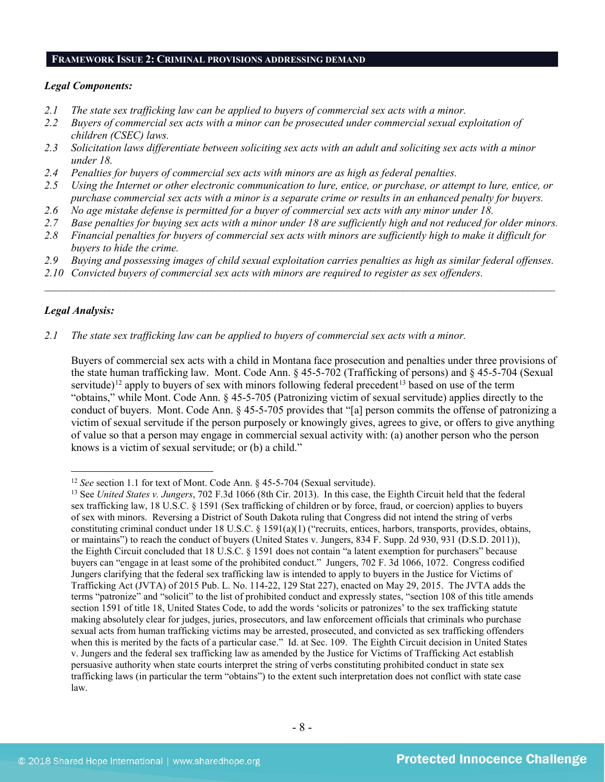#### **FRAMEWORK ISSUE 2: CRIMINAL PROVISIONS ADDRESSING DEMAND**

#### *Legal Components:*

- *2.1 The state sex trafficking law can be applied to buyers of commercial sex acts with a minor.*
- *2.2 Buyers of commercial sex acts with a minor can be prosecuted under commercial sexual exploitation of children (CSEC) laws.*
- *2.3 Solicitation laws differentiate between soliciting sex acts with an adult and soliciting sex acts with a minor under 18.*
- *2.4 Penalties for buyers of commercial sex acts with minors are as high as federal penalties.*
- *2.5 Using the Internet or other electronic communication to lure, entice, or purchase, or attempt to lure, entice, or purchase commercial sex acts with a minor is a separate crime or results in an enhanced penalty for buyers.*
- *2.6 No age mistake defense is permitted for a buyer of commercial sex acts with any minor under 18.*
- *2.7 Base penalties for buying sex acts with a minor under 18 are sufficiently high and not reduced for older minors.*
- *2.8 Financial penalties for buyers of commercial sex acts with minors are sufficiently high to make it difficult for buyers to hide the crime.*
- *2.9 Buying and possessing images of child sexual exploitation carries penalties as high as similar federal offenses.*

\_\_\_\_\_\_\_\_\_\_\_\_\_\_\_\_\_\_\_\_\_\_\_\_\_\_\_\_\_\_\_\_\_\_\_\_\_\_\_\_\_\_\_\_\_\_\_\_\_\_\_\_\_\_\_\_\_\_\_\_\_\_\_\_\_\_\_\_\_\_\_\_\_\_\_\_\_\_\_\_\_\_\_\_\_\_\_\_\_\_\_\_\_\_

*2.10 Convicted buyers of commercial sex acts with minors are required to register as sex offenders.* 

# *Legal Analysis:*

*2.1 The state sex trafficking law can be applied to buyers of commercial sex acts with a minor.*

Buyers of commercial sex acts with a child in Montana face prosecution and penalties under three provisions of the state human trafficking law. Mont. Code Ann. § 45-5-702 (Trafficking of persons) and § 45-5-704 (Sexual servitude)<sup>[12](#page-7-0)</sup> apply to buyers of sex with minors following federal precedent<sup>[13](#page-7-1)</sup> based on use of the term "obtains," while Mont. Code Ann. § 45-5-705 (Patronizing victim of sexual servitude) applies directly to the conduct of buyers. Mont. Code Ann. § 45-5-705 provides that "[a] person commits the offense of patronizing a victim of sexual servitude if the person purposely or knowingly gives, agrees to give, or offers to give anything of value so that a person may engage in commercial sexual activity with: (a) another person who the person knows is a victim of sexual servitude; or (b) a child."

<span id="page-7-0"></span><sup>&</sup>lt;sup>12</sup> *See* section 1.1 for text of Mont. Code Ann. § 45-5-704 (Sexual servitude).

<span id="page-7-1"></span><sup>13</sup> See *United States v. Jungers*, 702 F.3d 1066 (8th Cir. 2013). In this case, the Eighth Circuit held that the federal sex trafficking law, 18 U.S.C. § 1591 (Sex trafficking of children or by force, fraud, or coercion) applies to buyers of sex with minors. Reversing a District of South Dakota ruling that Congress did not intend the string of verbs constituting criminal conduct under 18 U.S.C. § 1591(a)(1) ("recruits, entices, harbors, transports, provides, obtains, or maintains") to reach the conduct of buyers (United States v. Jungers, 834 F. Supp. 2d 930, 931 (D.S.D. 2011)), the Eighth Circuit concluded that 18 U.S.C. § 1591 does not contain "a latent exemption for purchasers" because buyers can "engage in at least some of the prohibited conduct." Jungers, 702 F. 3d 1066, 1072. Congress codified Jungers clarifying that the federal sex trafficking law is intended to apply to buyers in the Justice for Victims of Trafficking Act (JVTA) of 2015 Pub. L. No. 114-22, 129 Stat 227), enacted on May 29, 2015. The JVTA adds the terms "patronize" and "solicit" to the list of prohibited conduct and expressly states, "section 108 of this title amends section 1591 of title 18, United States Code, to add the words 'solicits or patronizes' to the sex trafficking statute making absolutely clear for judges, juries, prosecutors, and law enforcement officials that criminals who purchase sexual acts from human trafficking victims may be arrested, prosecuted, and convicted as sex trafficking offenders when this is merited by the facts of a particular case." Id. at Sec. 109. The Eighth Circuit decision in United States v. Jungers and the federal sex trafficking law as amended by the Justice for Victims of Trafficking Act establish persuasive authority when state courts interpret the string of verbs constituting prohibited conduct in state sex trafficking laws (in particular the term "obtains") to the extent such interpretation does not conflict with state case law.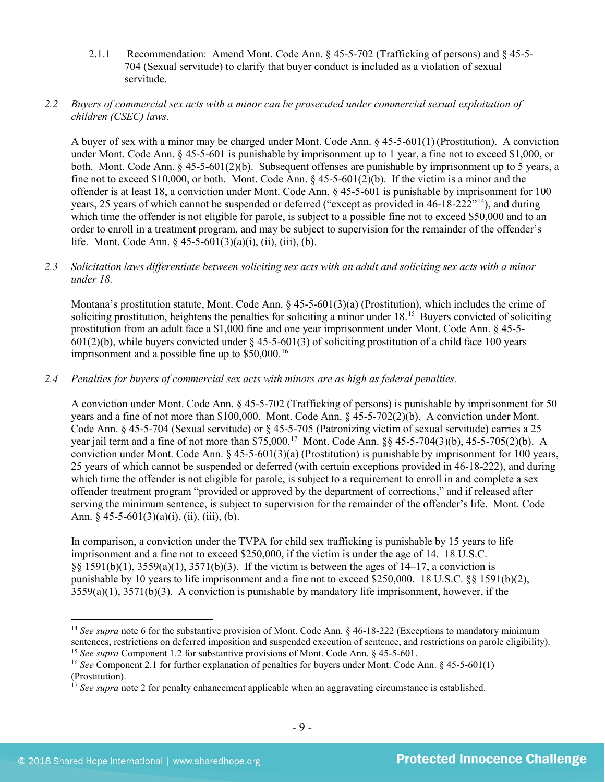2.1.1 Recommendation: Amend Mont. Code Ann. § 45-5-702 (Trafficking of persons) and § 45-5- 704 (Sexual servitude) to clarify that buyer conduct is included as a violation of sexual servitude.

# *2.2 Buyers of commercial sex acts with a minor can be prosecuted under commercial sexual exploitation of children (CSEC) laws.*

A buyer of sex with a minor may be charged under Mont. Code Ann. § 45-5-601(1) (Prostitution). A conviction under Mont. Code Ann. § 45-5-601 is punishable by imprisonment up to 1 year, a fine not to exceed \$1,000, or both. Mont. Code Ann. § 45-5-601(2)(b). Subsequent offenses are punishable by imprisonment up to 5 years, a fine not to exceed \$10,000, or both. Mont. Code Ann.  $\S$  45-5-601(2)(b). If the victim is a minor and the offender is at least 18, a conviction under Mont. Code Ann. § 45-5-601 is punishable by imprisonment for 100 years, 25 years of which cannot be suspended or deferred ("except as provided in 46-18-222"<sup>[14](#page-8-0)</sup>), and during which time the offender is not eligible for parole, is subject to a possible fine not to exceed \$50,000 and to an order to enroll in a treatment program, and may be subject to supervision for the remainder of the offender's life. Mont. Code Ann. § 45-5-601(3)(a)(i), (ii), (iii), (b).

# *2.3 Solicitation laws differentiate between soliciting sex acts with an adult and soliciting sex acts with a minor under 18.*

Montana's prostitution statute, Mont. Code Ann. § 45-5-601(3)(a) (Prostitution), which includes the crime of soliciting prostitution, heightens the penalties for soliciting a minor under 18.<sup>15</sup> Buyers convicted of soliciting prostitution from an adult face a \$1,000 fine and one year imprisonment under Mont. Code Ann. § 45-5- 601(2)(b), while buyers convicted under  $\S$  45-5-601(3) of soliciting prostitution of a child face 100 years imprisonment and a possible fine up to \$50,000.<sup>[16](#page-8-2)</sup>

# *2.4 Penalties for buyers of commercial sex acts with minors are as high as federal penalties.*

A conviction under Mont. Code Ann. § 45-5-702 (Trafficking of persons) is punishable by imprisonment for 50 years and a fine of not more than \$100,000. Mont. Code Ann. § 45-5-702(2)(b). A conviction under Mont. Code Ann. § 45-5-704 (Sexual servitude) or § 45-5-705 (Patronizing victim of sexual servitude) carries a 25 year jail term and a fine of not more than \$75,000.[17](#page-8-3) Mont. Code Ann. §§ 45-5-704(3)(b), 45-5-705(2)(b). A conviction under Mont. Code Ann.  $\S$  45-5-601(3)(a) (Prostitution) is punishable by imprisonment for 100 years, 25 years of which cannot be suspended or deferred (with certain exceptions provided in 46-18-222), and during which time the offender is not eligible for parole, is subject to a requirement to enroll in and complete a sex offender treatment program "provided or approved by the department of corrections," and if released after serving the minimum sentence, is subject to supervision for the remainder of the offender's life. Mont. Code Ann.  $§$  45-5-601(3)(a)(i), (ii), (iii), (b).

In comparison, a conviction under the TVPA for child sex trafficking is punishable by 15 years to life imprisonment and a fine not to exceed \$250,000, if the victim is under the age of 14. 18 U.S.C. §§ 1591(b)(1), 3559(a)(1), 3571(b)(3). If the victim is between the ages of 14–17, a conviction is punishable by 10 years to life imprisonment and a fine not to exceed \$250,000. 18 U.S.C. §§ 1591(b)(2), 3559(a)(1), 3571(b)(3). A conviction is punishable by mandatory life imprisonment, however, if the

<span id="page-8-0"></span><sup>&</sup>lt;sup>14</sup> *See supra* note [6](#page-2-1) for the substantive provision of Mont. Code Ann. § 46-18-222 (Exceptions to mandatory minimum sentences, restrictions on deferred imposition and suspended execution of sentence, and restrictions on parole eligibility). <sup>15</sup> *See supra* Component 1.2 for substantive provisions of Mont. Code Ann. § 45-5-601.

<span id="page-8-2"></span><span id="page-8-1"></span><sup>16</sup> *See* Component 2.1 for further explanation of penalties for buyers under Mont. Code Ann. § 45-5-601(1) (Prostitution).

<span id="page-8-3"></span> $17$  *See supra* note [2](#page-0-2) for penalty enhancement applicable when an aggravating circumstance is established.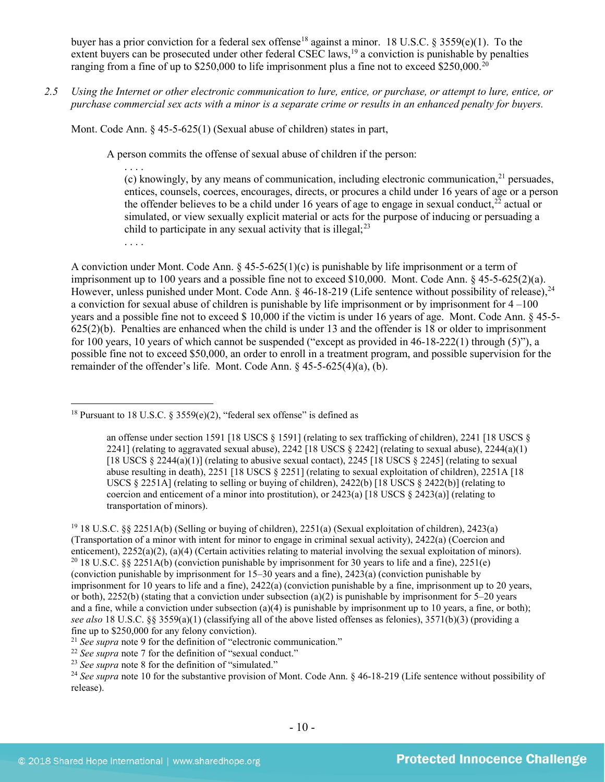buyer has a prior conviction for a federal sex offense<sup>[18](#page-9-0)</sup> against a minor. 18 U.S.C. § 3559(e)(1). To the extent buyers can be prosecuted under other federal CSEC laws,<sup>[19](#page-9-1)</sup> a conviction is punishable by penalties ranging from a fine of up to \$250,000 to life imprisonment plus a fine not to exceed \$250,000.<sup>20</sup>

*2.5 Using the Internet or other electronic communication to lure, entice, or purchase, or attempt to lure, entice, or purchase commercial sex acts with a minor is a separate crime or results in an enhanced penalty for buyers.*

Mont. Code Ann. § 45-5-625(1) (Sexual abuse of children) states in part,

A person commits the offense of sexual abuse of children if the person:

<span id="page-9-7"></span>. . . . (c) knowingly, by any means of communication, including electronic communication, $^{21}$  $^{21}$  $^{21}$  persuades, entices, counsels, coerces, encourages, directs, or procures a child under 16 years of age or a person the offender believes to be a child under 16 years of age to engage in sexual conduct.<sup>[22](#page-9-4)</sup> actual or simulated, or view sexually explicit material or acts for the purpose of inducing or persuading a child to participate in any sexual activity that is illegal; [23](#page-9-5)

. . . .

A conviction under Mont. Code Ann.  $\S 45-5-625(1)(c)$  is punishable by life imprisonment or a term of imprisonment up to 100 years and a possible fine not to exceed \$10,000. Mont. Code Ann. § 45-5-625(2)(a). However, unless punished under Mont. Code Ann. § 46-18-219 (Life sentence without possibility of release),<sup>[24](#page-9-6)</sup> a conviction for sexual abuse of children is punishable by life imprisonment or by imprisonment for 4 –100 years and a possible fine not to exceed \$ 10,000 if the victim is under 16 years of age. Mont. Code Ann. § 45-5- 625(2)(b). Penalties are enhanced when the child is under 13 and the offender is 18 or older to imprisonment for 100 years, 10 years of which cannot be suspended ("except as provided in 46-18-222(1) through (5)"), a possible fine not to exceed \$50,000, an order to enroll in a treatment program, and possible supervision for the remainder of the offender's life. Mont. Code Ann. § 45-5-625(4)(a), (b).

<span id="page-9-6"></span><sup>24</sup> See supra note [10](#page-3-3) for the substantive provision of Mont. Code Ann. § 46-18-219 (Life sentence without possibility of release).

<span id="page-9-0"></span><sup>&</sup>lt;sup>18</sup> Pursuant to 18 U.S.C. § 3559(e)(2), "federal sex offense" is defined as

an offense under section 1591 [18 USCS § 1591] (relating to sex trafficking of children), 2241 [18 USCS § 2241] (relating to aggravated sexual abuse), 2242 [18 USCS  $\S$  2242] (relating to sexual abuse), 2244(a)(1) [18 USCS  $\S 2244(a)(1)$ ] (relating to abusive sexual contact), 2245 [18 USCS  $\S 2245$ ] (relating to sexual abuse resulting in death), 2251 [18 USCS § 2251] (relating to sexual exploitation of children), 2251A [18 USCS § 2251A] (relating to selling or buying of children), 2422(b) [18 USCS § 2422(b)] (relating to coercion and enticement of a minor into prostitution), or  $2423(a)$  [18 USCS §  $2423(a)$ ] (relating to transportation of minors).

<span id="page-9-2"></span><span id="page-9-1"></span><sup>19</sup> 18 U.S.C. §§ 2251A(b) (Selling or buying of children), 2251(a) (Sexual exploitation of children), 2423(a) (Transportation of a minor with intent for minor to engage in criminal sexual activity), 2422(a) (Coercion and enticement), 2252(a)(2), (a)(4) (Certain activities relating to material involving the sexual exploitation of minors). <sup>20</sup> 18 U.S.C. §§ 2251A(b) (conviction punishable by imprisonment for 30 years to life and a fine), 22 (conviction punishable by imprisonment for 15–30 years and a fine), 2423(a) (conviction punishable by imprisonment for 10 years to life and a fine), 2422(a) (conviction punishable by a fine, imprisonment up to 20 years, or both),  $2252(b)$  (stating that a conviction under subsection (a)(2) is punishable by imprisonment for 5–20 years and a fine, while a conviction under subsection (a)(4) is punishable by imprisonment up to 10 years, a fine, or both); *see also* 18 U.S.C. §§ 3559(a)(1) (classifying all of the above listed offenses as felonies), 3571(b)(3) (providing a fine up to \$250,000 for any felony conviction).

<span id="page-9-3"></span><sup>&</sup>lt;sup>21</sup> *See supra* note 9 for the definition of "electronic communication."<br><sup>22</sup> *See supra* note [7](#page-3-5) for the definition of "sexual conduct."

<span id="page-9-5"></span><span id="page-9-4"></span><sup>23</sup> *See supra* note [8](#page-3-6) for the definition of "simulated."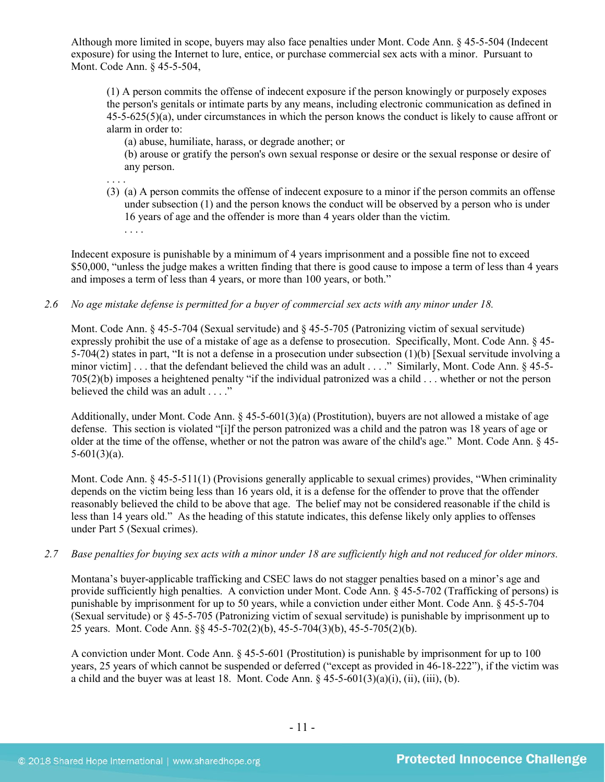Although more limited in scope, buyers may also face penalties under Mont. Code Ann. § 45-5-504 (Indecent exposure) for using the Internet to lure, entice, or purchase commercial sex acts with a minor. Pursuant to Mont. Code Ann. § 45-5-504,

(1) A person commits the offense of indecent exposure if the person knowingly or purposely exposes the person's genitals or intimate parts by any means, including electronic communication as defined in 45-5-625(5)(a), under circumstances in which the person knows the conduct is likely to cause affront or alarm in order to:

(a) abuse, humiliate, harass, or degrade another; or

(b) arouse or gratify the person's own sexual response or desire or the sexual response or desire of any person.

. . . .

(3) (a) A person commits the offense of indecent exposure to a minor if the person commits an offense under subsection (1) and the person knows the conduct will be observed by a person who is under 16 years of age and the offender is more than 4 years older than the victim. . . . .

Indecent exposure is punishable by a minimum of 4 years imprisonment and a possible fine not to exceed \$50,000, "unless the judge makes a written finding that there is good cause to impose a term of less than 4 years and imposes a term of less than 4 years, or more than 100 years, or both."

*2.6 No age mistake defense is permitted for a buyer of commercial sex acts with any minor under 18.*

Mont. Code Ann. § 45-5-704 (Sexual servitude) and § 45-5-705 (Patronizing victim of sexual servitude) expressly prohibit the use of a mistake of age as a defense to prosecution. Specifically, Mont. Code Ann. § 45- 5-704(2) states in part, "It is not a defense in a prosecution under subsection (1)(b) [Sexual servitude involving a minor victim] . . . that the defendant believed the child was an adult . . . ." Similarly, Mont. Code Ann. § 45-5-705(2)(b) imposes a heightened penalty "if the individual patronized was a child . . . whether or not the person believed the child was an adult . . . ."

Additionally, under Mont. Code Ann. § 45-5-601(3)(a) (Prostitution), buyers are not allowed a mistake of age defense. This section is violated "[i]f the person patronized was a child and the patron was 18 years of age or older at the time of the offense, whether or not the patron was aware of the child's age." Mont. Code Ann. § 45-  $5-601(3)(a)$ .

Mont. Code Ann. § 45-5-511(1) (Provisions generally applicable to sexual crimes) provides, "When criminality depends on the victim being less than 16 years old, it is a defense for the offender to prove that the offender reasonably believed the child to be above that age. The belief may not be considered reasonable if the child is less than 14 years old." As the heading of this statute indicates, this defense likely only applies to offenses under Part 5 (Sexual crimes).

*2.7 Base penalties for buying sex acts with a minor under 18 are sufficiently high and not reduced for older minors.*

Montana's buyer-applicable trafficking and CSEC laws do not stagger penalties based on a minor's age and provide sufficiently high penalties. A conviction under Mont. Code Ann. § 45-5-702 (Trafficking of persons) is punishable by imprisonment for up to 50 years, while a conviction under either Mont. Code Ann. § 45-5-704 (Sexual servitude) or § 45-5-705 (Patronizing victim of sexual servitude) is punishable by imprisonment up to 25 years. Mont. Code Ann. §§ 45-5-702(2)(b), 45-5-704(3)(b), 45-5-705(2)(b).

A conviction under Mont. Code Ann. § 45-5-601 (Prostitution) is punishable by imprisonment for up to 100 years, 25 years of which cannot be suspended or deferred ("except as provided in 46-18-222"), if the victim was a child and the buyer was at least 18. Mont. Code Ann.  $\S$  45-5-601(3)(a)(i), (ii), (iii), (b).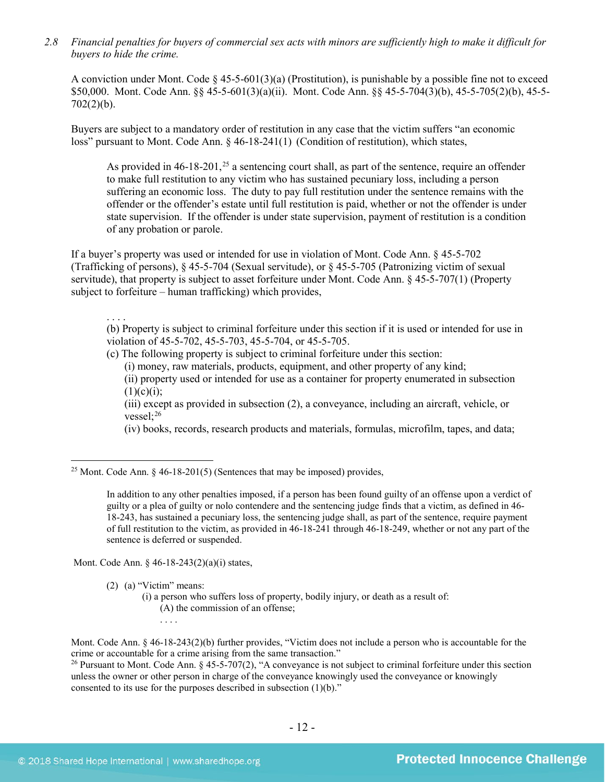*2.8 Financial penalties for buyers of commercial sex acts with minors are sufficiently high to make it difficult for buyers to hide the crime.* 

A conviction under Mont. Code  $\S$  45-5-601(3)(a) (Prostitution), is punishable by a possible fine not to exceed \$50,000. Mont. Code Ann. §§ 45-5-601(3)(a)(ii). Mont. Code Ann. §§ 45-5-704(3)(b), 45-5-705(2)(b), 45-5-  $702(2)(b)$ .

Buyers are subject to a mandatory order of restitution in any case that the victim suffers "an economic loss" pursuant to Mont. Code Ann. § 46-18-241(1) (Condition of restitution), which states,

<span id="page-11-2"></span>As provided in  $46-18-201$ ,<sup>[25](#page-11-0)</sup> a sentencing court shall, as part of the sentence, require an offender to make full restitution to any victim who has sustained pecuniary loss, including a person suffering an economic loss. The duty to pay full restitution under the sentence remains with the offender or the offender's estate until full restitution is paid, whether or not the offender is under state supervision. If the offender is under state supervision, payment of restitution is a condition of any probation or parole.

If a buyer's property was used or intended for use in violation of Mont. Code Ann. § 45-5-702 (Trafficking of persons), § 45-5-704 (Sexual servitude), or § 45-5-705 (Patronizing victim of sexual servitude), that property is subject to asset forfeiture under Mont. Code Ann. § 45-5-707(1) (Property subject to forfeiture – human trafficking) which provides,

. . . .

(b) Property is subject to criminal forfeiture under this section if it is used or intended for use in violation of 45-5-702, 45-5-703, 45-5-704, or 45-5-705.

(c) The following property is subject to criminal forfeiture under this section:

(i) money, raw materials, products, equipment, and other property of any kind;

(ii) property used or intended for use as a container for property enumerated in subsection  $(1)(c)(i);$ 

<span id="page-11-3"></span>(iii) except as provided in subsection (2), a conveyance, including an aircraft, vehicle, or vessel $:$ <sup>26</sup>

(iv) books, records, research products and materials, formulas, microfilm, tapes, and data;

<span id="page-11-0"></span><sup>25</sup> Mont. Code Ann.  $\frac{6}{9}$  46-18-201(5) (Sentences that may be imposed) provides,

In addition to any other penalties imposed, if a person has been found guilty of an offense upon a verdict of guilty or a plea of guilty or nolo contendere and the sentencing judge finds that a victim, as defined in 46- 18-243, has sustained a pecuniary loss, the sentencing judge shall, as part of the sentence, require payment of full restitution to the victim, as provided in 46-18-241 through 46-18-249, whether or not any part of the sentence is deferred or suspended.

Mont. Code Ann. § 46-18-243(2)(a)(i) states,

(2) (a) "Victim" means:

- (i) a person who suffers loss of property, bodily injury, or death as a result of:
	- (A) the commission of an offense;
	- . . . .

Mont. Code Ann. § 46-18-243(2)(b) further provides, "Victim does not include a person who is accountable for the crime or accountable for a crime arising from the same transaction."

<span id="page-11-1"></span><sup>26</sup> Pursuant to Mont. Code Ann.  $\S 45-5-707(2)$ , "A conveyance is not subject to criminal forfeiture under this section unless the owner or other person in charge of the conveyance knowingly used the conveyance or knowingly consented to its use for the purposes described in subsection (1)(b)."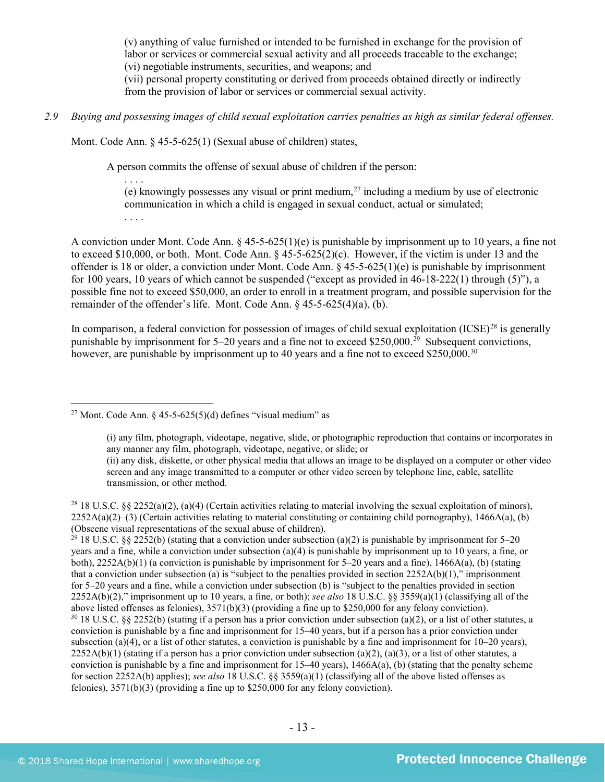(v) anything of value furnished or intended to be furnished in exchange for the provision of labor or services or commercial sexual activity and all proceeds traceable to the exchange; (vi) negotiable instruments, securities, and weapons; and (vii) personal property constituting or derived from proceeds obtained directly or indirectly

from the provision of labor or services or commercial sexual activity.

*2.9 Buying and possessing images of child sexual exploitation carries penalties as high as similar federal offenses.*

Mont. Code Ann. § 45-5-625(1) (Sexual abuse of children) states,

A person commits the offense of sexual abuse of children if the person:

. . . . (e) knowingly possesses any visual or print medium,<sup>[27](#page-12-0)</sup> including a medium by use of electronic communication in which a child is engaged in sexual conduct, actual or simulated; . . . .

A conviction under Mont. Code Ann. § 45-5-625(1)(e) is punishable by imprisonment up to 10 years, a fine not to exceed \$10,000, or both. Mont. Code Ann. § 45-5-625(2)(c). However, if the victim is under 13 and the offender is 18 or older, a conviction under Mont. Code Ann.  $\S$  45-5-625(1)(e) is punishable by imprisonment for 100 years, 10 years of which cannot be suspended ("except as provided in 46-18-222(1) through (5)"), a possible fine not to exceed \$50,000, an order to enroll in a treatment program, and possible supervision for the remainder of the offender's life. Mont. Code Ann. § 45-5-625(4)(a), (b).

In comparison, a federal conviction for possession of images of child sexual exploitation  $(ICSE)^{28}$  $(ICSE)^{28}$  $(ICSE)^{28}$  is generally punishable by imprisonment for  $5-20$  years and a fine not to exceed \$250,000.<sup>[29](#page-12-2)</sup> Subsequent convictions, however, are punishable by imprisonment up to 40 years and a fine not to exceed \$250,000.<sup>30</sup>

<span id="page-12-3"></span><span id="page-12-2"></span><sup>29</sup> 18 U.S.C. §§ 2252(b) (stating that a conviction under subsection (a)(2) is punishable by imprisonment for 5–20 years and a fine, while a conviction under subsection (a)(4) is punishable by imprisonment up to 10 years, a fine, or both),  $2252A(b)(1)$  (a conviction is punishable by imprisonment for 5–20 years and a fine),  $1466A(a)$ , (b) (stating that a conviction under subsection (a) is "subject to the penalties provided in section  $2252A(b)(1)$ ," imprisonment for 5–20 years and a fine, while a conviction under subsection (b) is "subject to the penalties provided in section 2252A(b)(2)," imprisonment up to 10 years, a fine, or both); *see also* 18 U.S.C. §§ 3559(a)(1) (classifying all of the  $30$  18 U.S.C. §§ 2252(b) (stating if a person has a prior conviction under subsection (a)(2), or a list of other statutes, a conviction is punishable by a fine and imprisonment for 15–40 years, but if a person has a prior conviction under subsection (a)(4), or a list of other statutes, a conviction is punishable by a fine and imprisonment for  $10-20$  years),  $2252A(b)(1)$  (stating if a person has a prior conviction under subsection (a)(2), (a)(3), or a list of other statutes, a conviction is punishable by a fine and imprisonment for 15–40 years), 1466A(a), (b) (stating that the penalty scheme for section 2252A(b) applies); *see also* 18 U.S.C. §§ 3559(a)(1) (classifying all of the above listed offenses as felonies), 3571(b)(3) (providing a fine up to \$250,000 for any felony conviction).

<span id="page-12-0"></span><sup>&</sup>lt;sup>27</sup> Mont. Code Ann.  $\frac{1}{2}$  45-5-625(5)(d) defines "visual medium" as

<sup>(</sup>i) any film, photograph, videotape, negative, slide, or photographic reproduction that contains or incorporates in any manner any film, photograph, videotape, negative, or slide; or (ii) any disk, diskette, or other physical media that allows an image to be displayed on a computer or other video screen and any image transmitted to a computer or other video screen by telephone line, cable, satellite transmission, or other method.

<span id="page-12-1"></span><sup>&</sup>lt;sup>28</sup> 18 U.S.C. §§ 2252(a)(2), (a)(4) (Certain activities relating to material involving the sexual exploitation of minors),  $2252A(a)(2)$ –(3) (Certain activities relating to material constituting or containing child pornography), 1466A(a), (b) (Obscene visual representations of the sexual abuse of children).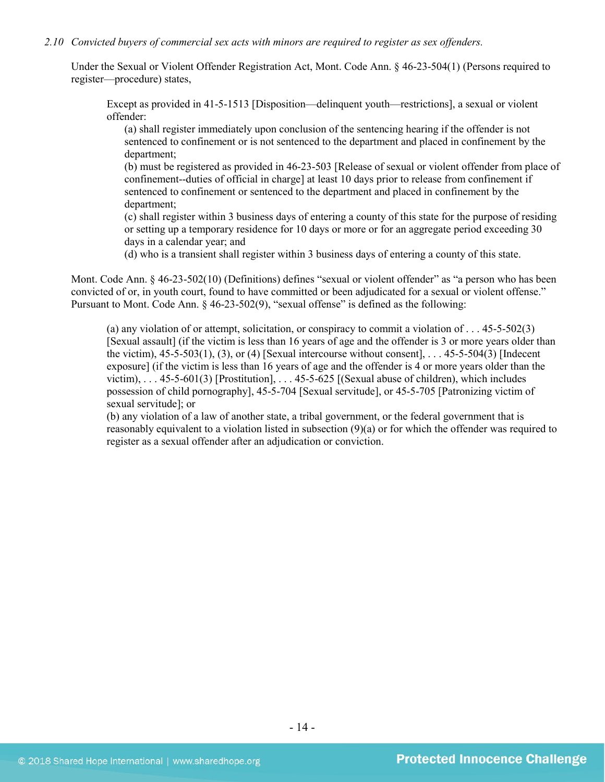#### *2.10 Convicted buyers of commercial sex acts with minors are required to register as sex offenders.*

Under the Sexual or Violent Offender Registration Act, Mont. Code Ann. § 46-23-504(1) (Persons required to register—procedure) states,

Except as provided in 41-5-1513 [Disposition—delinquent youth—restrictions], a sexual or violent offender:

(a) shall register immediately upon conclusion of the sentencing hearing if the offender is not sentenced to confinement or is not sentenced to the department and placed in confinement by the department;

(b) must be registered as provided in 46-23-503 [Release of sexual or violent offender from place of confinement--duties of official in charge] at least 10 days prior to release from confinement if sentenced to confinement or sentenced to the department and placed in confinement by the department;

(c) shall register within 3 business days of entering a county of this state for the purpose of residing or setting up a temporary residence for 10 days or more or for an aggregate period exceeding 30 days in a calendar year; and

(d) who is a transient shall register within 3 business days of entering a county of this state.

Mont. Code Ann. § 46-23-502(10) (Definitions) defines "sexual or violent offender" as "a person who has been convicted of or, in youth court, found to have committed or been adjudicated for a sexual or violent offense." Pursuant to Mont. Code Ann. § 46-23-502(9), "sexual offense" is defined as the following:

(a) any violation of or attempt, solicitation, or conspiracy to commit a violation of . . . 45-5-502(3) [Sexual assault] (if the victim is less than 16 years of age and the offender is 3 or more years older than the victim), 45-5-503(1), (3), or (4) [Sexual intercourse without consent], . . . 45-5-504(3) [Indecent exposure] (if the victim is less than 16 years of age and the offender is 4 or more years older than the victim), . . . 45-5-601(3) [Prostitution], . . . 45-5-625 [(Sexual abuse of children), which includes possession of child pornography], 45-5-704 [Sexual servitude], or 45-5-705 [Patronizing victim of sexual servitude]; or

(b) any violation of a law of another state, a tribal government, or the federal government that is reasonably equivalent to a violation listed in subsection (9)(a) or for which the offender was required to register as a sexual offender after an adjudication or conviction.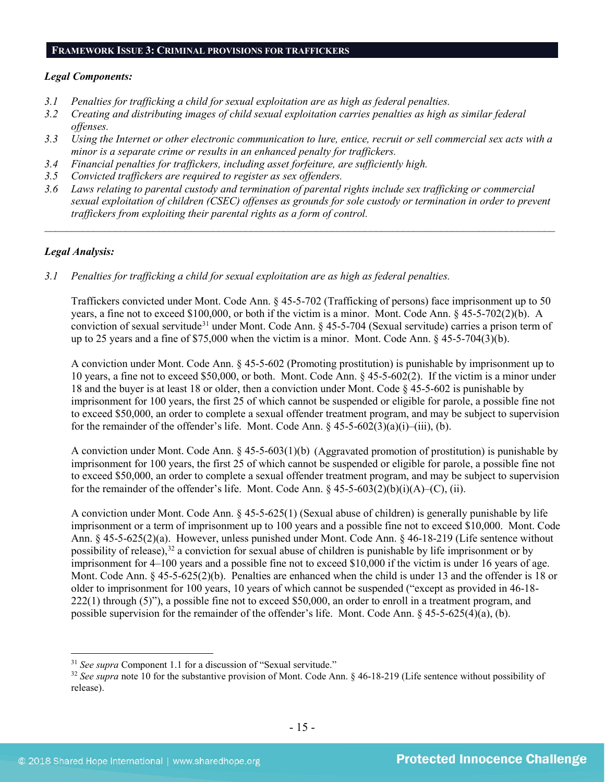#### **FRAMEWORK ISSUE 3: CRIMINAL PROVISIONS FOR TRAFFICKERS**

#### *Legal Components:*

- *3.1 Penalties for trafficking a child for sexual exploitation are as high as federal penalties.*
- *3.2 Creating and distributing images of child sexual exploitation carries penalties as high as similar federal offenses.*
- *3.3 Using the Internet or other electronic communication to lure, entice, recruit or sell commercial sex acts with a minor is a separate crime or results in an enhanced penalty for traffickers.*
- *3.4 Financial penalties for traffickers, including asset forfeiture, are sufficiently high.*
- *3.5 Convicted traffickers are required to register as sex offenders.*
- *3.6 Laws relating to parental custody and termination of parental rights include sex trafficking or commercial sexual exploitation of children (CSEC) offenses as grounds for sole custody or termination in order to prevent traffickers from exploiting their parental rights as a form of control.*

*\_\_\_\_\_\_\_\_\_\_\_\_\_\_\_\_\_\_\_\_\_\_\_\_\_\_\_\_\_\_\_\_\_\_\_\_\_\_\_\_\_\_\_\_\_\_\_\_\_\_\_\_\_\_\_\_\_\_\_\_\_\_\_\_\_\_\_\_\_\_\_\_\_\_\_\_\_\_\_\_\_\_\_\_\_\_\_\_\_\_\_\_\_\_*

#### *Legal Analysis:*

*3.1 Penalties for trafficking a child for sexual exploitation are as high as federal penalties.* 

Traffickers convicted under Mont. Code Ann. § 45-5-702 (Trafficking of persons) face imprisonment up to 50 years, a fine not to exceed \$100,000, or both if the victim is a minor. Mont. Code Ann. § 45-5-702(2)(b). A conviction of sexual servitude<sup>[31](#page-14-0)</sup> under Mont. Code Ann. § 45-5-704 (Sexual servitude) carries a prison term of up to 25 years and a fine of \$75,000 when the victim is a minor. Mont. Code Ann. § 45-5-704(3)(b).

A conviction under Mont. Code Ann. § 45-5-602 (Promoting prostitution) is punishable by imprisonment up to 10 years, a fine not to exceed \$50,000, or both. Mont. Code Ann. § 45-5-602(2). If the victim is a minor under 18 and the buyer is at least 18 or older, then a conviction under Mont. Code § 45-5-602 is punishable by imprisonment for 100 years, the first 25 of which cannot be suspended or eligible for parole, a possible fine not to exceed \$50,000, an order to complete a sexual offender treatment program, and may be subject to supervision for the remainder of the offender's life. Mont. Code Ann. §  $45-5-60\overline{2}(3)(a)(i)$ —(iii), (b).

A conviction under Mont. Code Ann. § 45-5-603(1)(b) (Aggravated promotion of prostitution) is punishable by imprisonment for 100 years, the first 25 of which cannot be suspended or eligible for parole, a possible fine not to exceed \$50,000, an order to complete a sexual offender treatment program, and may be subject to supervision for the remainder of the offender's life. Mont. Code Ann. § 45-5-603(2)(b)(i)(A)–(C), (ii).

A conviction under Mont. Code Ann. § 45-5-625(1) (Sexual abuse of children) is generally punishable by life imprisonment or a term of imprisonment up to 100 years and a possible fine not to exceed \$10,000. Mont. Code Ann. § 45-5-625(2)(a). However, unless punished under Mont. Code Ann. § 46-18-219 (Life sentence without possibility of release),<sup>[32](#page-14-1)</sup> a conviction for sexual abuse of children is punishable by life imprisonment or by imprisonment for 4–100 years and a possible fine not to exceed \$10,000 if the victim is under 16 years of age. Mont. Code Ann. § 45-5-625(2)(b). Penalties are enhanced when the child is under 13 and the offender is 18 or older to imprisonment for 100 years, 10 years of which cannot be suspended ("except as provided in 46-18- 222(1) through (5)"), a possible fine not to exceed \$50,000, an order to enroll in a treatment program, and possible supervision for the remainder of the offender's life. Mont. Code Ann. § 45-5-625(4)(a), (b).

<span id="page-14-0"></span> <sup>31</sup> *See supra* Component 1.1 for a discussion of "Sexual servitude."

<span id="page-14-1"></span><sup>&</sup>lt;sup>32</sup> See supra note [10](#page-3-3) for the substantive provision of Mont. Code Ann. § 46-18-219 (Life sentence without possibility of release).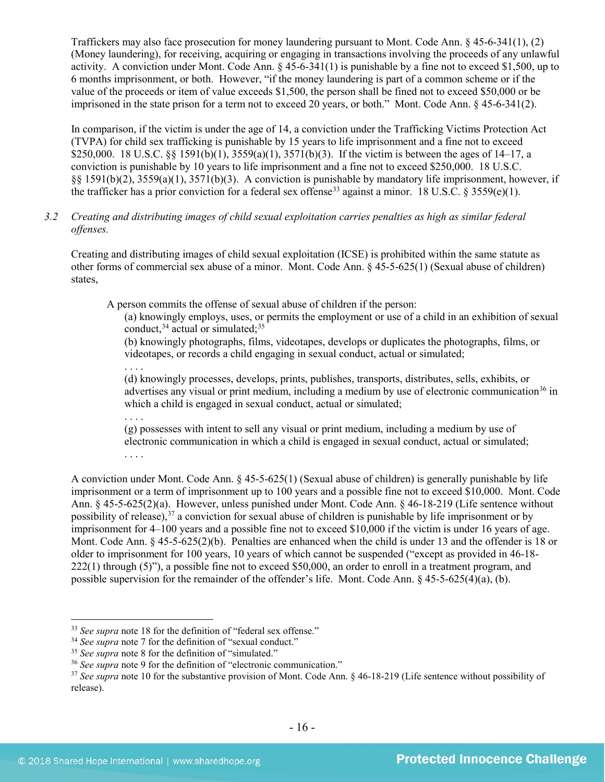Traffickers may also face prosecution for money laundering pursuant to Mont. Code Ann. § 45-6-341(1), (2) (Money laundering), for receiving, acquiring or engaging in transactions involving the proceeds of any unlawful activity. A conviction under Mont. Code Ann. § 45-6-341(1) is punishable by a fine not to exceed \$1,500, up to 6 months imprisonment, or both. However, "if the money laundering is part of a common scheme or if the value of the proceeds or item of value exceeds \$1,500, the person shall be fined not to exceed \$50,000 or be imprisoned in the state prison for a term not to exceed 20 years, or both." Mont. Code Ann. § 45-6-341(2).

In comparison, if the victim is under the age of 14, a conviction under the Trafficking Victims Protection Act (TVPA) for child sex trafficking is punishable by 15 years to life imprisonment and a fine not to exceed \$250,000. 18 U.S.C. §§ 1591(b)(1),  $3559(a)(1)$ ,  $3571(b)(3)$ . If the victim is between the ages of 14–17, a conviction is punishable by 10 years to life imprisonment and a fine not to exceed \$250,000. 18 U.S.C. §§ 1591(b)(2), 3559(a)(1), 3571(b)(3). A conviction is punishable by mandatory life imprisonment, however, if the trafficker has a prior conviction for a federal sex offense<sup>[33](#page-15-0)</sup> against a minor. 18 U.S.C. § 3559(e)(1).

# *3.2 Creating and distributing images of child sexual exploitation carries penalties as high as similar federal offenses.*

Creating and distributing images of child sexual exploitation (ICSE) is prohibited within the same statute as other forms of commercial sex abuse of a minor. Mont. Code Ann. § 45-5-625(1) (Sexual abuse of children) states,

A person commits the offense of sexual abuse of children if the person:

(a) knowingly employs, uses, or permits the employment or use of a child in an exhibition of sexual conduct,  $34$  actual or simulated;  $35$ 

(b) knowingly photographs, films, videotapes, develops or duplicates the photographs, films, or videotapes, or records a child engaging in sexual conduct, actual or simulated;

. . . .

(d) knowingly processes, develops, prints, publishes, transports, distributes, sells, exhibits, or advertises any visual or print medium, including a medium by use of electronic communication<sup>[36](#page-15-3)</sup> in which a child is engaged in sexual conduct, actual or simulated;

. . . . (g) possesses with intent to sell any visual or print medium, including a medium by use of electronic communication in which a child is engaged in sexual conduct, actual or simulated; . . . .

A conviction under Mont. Code Ann. § 45-5-625(1) (Sexual abuse of children) is generally punishable by life imprisonment or a term of imprisonment up to 100 years and a possible fine not to exceed \$10,000. Mont. Code Ann. § 45-5-625(2)(a). However, unless punished under Mont. Code Ann. § 46-18-219 (Life sentence without possibility of release),<sup>[37](#page-15-4)</sup> a conviction for sexual abuse of children is punishable by life imprisonment or by imprisonment for 4–100 years and a possible fine not to exceed \$10,000 if the victim is under 16 years of age. Mont. Code Ann. § 45-5-625(2)(b). Penalties are enhanced when the child is under 13 and the offender is 18 or older to imprisonment for 100 years, 10 years of which cannot be suspended ("except as provided in 46-18- 222(1) through (5)"), a possible fine not to exceed \$50,000, an order to enroll in a treatment program, and possible supervision for the remainder of the offender's life. Mont. Code Ann. § 45-5-625(4)(a), (b).

<span id="page-15-0"></span> <sup>33</sup> *See supra* note [18](#page-9-7) for the definition of "federal sex offense."

<span id="page-15-1"></span><sup>&</sup>lt;sup>34</sup> See supra note [7](#page-3-5) for the definition of "sexual conduct."

<span id="page-15-2"></span><sup>&</sup>lt;sup>35</sup> See supra note [8](#page-3-6) for the definition of "simulated."

<span id="page-15-3"></span><sup>36</sup> *See supra* note [9](#page-3-4) for the definition of "electronic communication."

<span id="page-15-4"></span><sup>&</sup>lt;sup>37</sup> See supra note [10](#page-3-3) for the substantive provision of Mont. Code Ann. § 46-18-219 (Life sentence without possibility of release).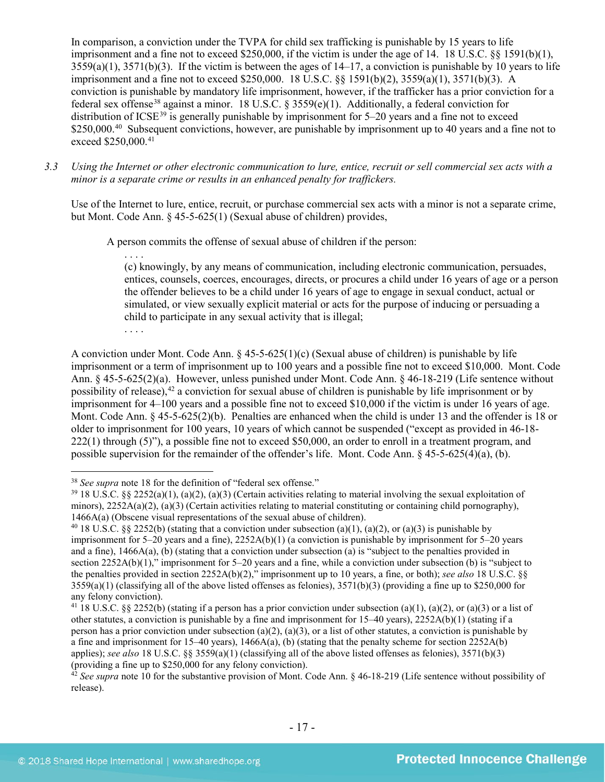In comparison, a conviction under the TVPA for child sex trafficking is punishable by 15 years to life imprisonment and a fine not to exceed \$250,000, if the victim is under the age of 14. 18 U.S.C. §§ 1591(b)(1),  $3559(a)(1)$ ,  $3571(b)(3)$ . If the victim is between the ages of  $14-17$ , a conviction is punishable by 10 years to life imprisonment and a fine not to exceed \$250,000. 18 U.S.C. §§ 1591(b)(2), 3559(a)(1), 3571(b)(3). A conviction is punishable by mandatory life imprisonment, however, if the trafficker has a prior conviction for a federal sex offense<sup>[38](#page-16-0)</sup> against a minor. 18 U.S.C. § 3559(e)(1). Additionally, a federal conviction for distribution of ICSE<sup>[39](#page-16-1)</sup> is generally punishable by imprisonment for  $5-20$  years and a fine not to exceed \$250,000.<sup>[40](#page-16-2)</sup> Subsequent convictions, however, are punishable by imprisonment up to 40 years and a fine not to exceed \$250,000.<sup>[41](#page-16-3)</sup>

*3.3 Using the Internet or other electronic communication to lure, entice, recruit or sell commercial sex acts with a minor is a separate crime or results in an enhanced penalty for traffickers.*

Use of the Internet to lure, entice, recruit, or purchase commercial sex acts with a minor is not a separate crime, but Mont. Code Ann. § 45-5-625(1) (Sexual abuse of children) provides,

A person commits the offense of sexual abuse of children if the person:

. . . .

(c) knowingly, by any means of communication, including electronic communication, persuades, entices, counsels, coerces, encourages, directs, or procures a child under 16 years of age or a person the offender believes to be a child under 16 years of age to engage in sexual conduct, actual or simulated, or view sexually explicit material or acts for the purpose of inducing or persuading a child to participate in any sexual activity that is illegal;

. . . .

A conviction under Mont. Code Ann.  $\S 45-5-625(1)(c)$  (Sexual abuse of children) is punishable by life imprisonment or a term of imprisonment up to 100 years and a possible fine not to exceed \$10,000. Mont. Code Ann. § 45-5-625(2)(a). However, unless punished under Mont. Code Ann. § 46-18-219 (Life sentence without possibility of release),<sup>[42](#page-16-4)</sup> a conviction for sexual abuse of children is punishable by life imprisonment or by imprisonment for 4–100 years and a possible fine not to exceed \$10,000 if the victim is under 16 years of age. Mont. Code Ann. § 45-5-625(2)(b). Penalties are enhanced when the child is under 13 and the offender is 18 or older to imprisonment for 100 years, 10 years of which cannot be suspended ("except as provided in 46-18- 222(1) through (5)"), a possible fine not to exceed \$50,000, an order to enroll in a treatment program, and possible supervision for the remainder of the offender's life. Mont. Code Ann. § 45-5-625(4)(a), (b).

<span id="page-16-0"></span> <sup>38</sup> *See supra* note [18](#page-9-7) for the definition of "federal sex offense."

<span id="page-16-1"></span> $39\,18$  U.S.C. §§ 2252(a)(1), (a)(2), (a)(3) (Certain activities relating to material involving the sexual exploitation of minors),  $2252A(a)(2)$ ,  $(a)(3)$  (Certain activities relating to material constituting or containing child pornography), 1466A(a) (Obscene visual representations of the sexual abuse of children).

<span id="page-16-2"></span><sup>&</sup>lt;sup>40</sup> 18 U.S.C. §§ 2252(b) (stating that a conviction under subsection (a)(1), (a)(2), or (a)(3) is punishable by imprisonment for 5–20 years and a fine), 2252A(b)(1) (a conviction is punishable by imprisonment for 5–20 years and a fine), 1466A(a), (b) (stating that a conviction under subsection (a) is "subject to the penalties provided in section 2252A(b)(1)," imprisonment for 5–20 years and a fine, while a conviction under subsection (b) is "subject to the penalties provided in section 2252A(b)(2)," imprisonment up to 10 years, a fine, or both); *see also* 18 U.S.C. §§  $3559(a)(1)$  (classifying all of the above listed offenses as felonies),  $3571(b)(3)$  (providing a fine up to \$250,000 for any felony conviction).

<span id="page-16-3"></span><sup>&</sup>lt;sup>41</sup> 18 U.S.C. §§ 2252(b) (stating if a person has a prior conviction under subsection (a)(1), (a)(2), or (a)(3) or a list of other statutes, a conviction is punishable by a fine and imprisonment for 15–40 years), 2252A(b)(1) (stating if a person has a prior conviction under subsection (a)(2), (a)(3), or a list of other statutes, a conviction is punishable by a fine and imprisonment for  $15-40$  years),  $1466A(a)$ , (b) (stating that the penalty scheme for section  $2252A(b)$ applies); *see also* 18 U.S.C. §§ 3559(a)(1) (classifying all of the above listed offenses as felonies), 3571(b)(3) (providing a fine up to \$250,000 for any felony conviction).

<span id="page-16-4"></span> $\frac{42}{2}$  See supra note [10](#page-3-3) for the substantive provision of Mont. Code Ann. § 46-18-219 (Life sentence without possibility of release).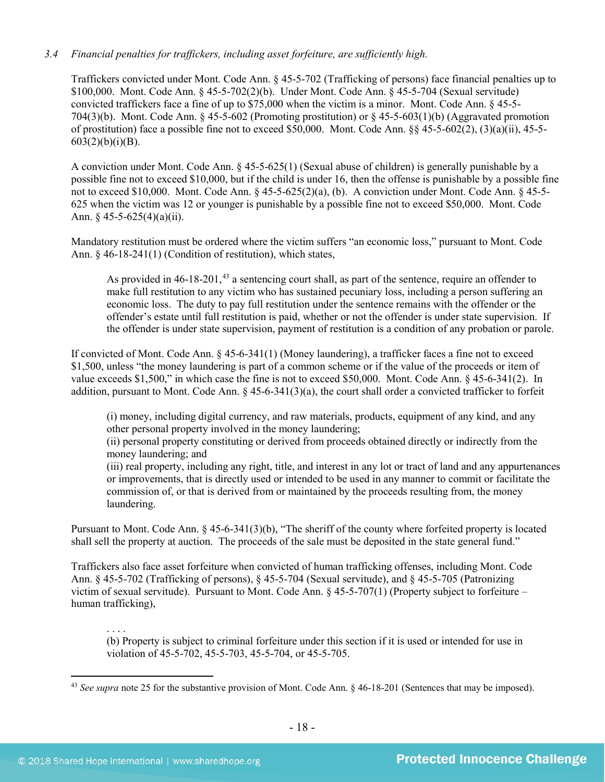# *3.4 Financial penalties for traffickers, including asset forfeiture, are sufficiently high.*

Traffickers convicted under Mont. Code Ann. § 45-5-702 (Trafficking of persons) face financial penalties up to \$100,000. Mont. Code Ann. § 45-5-702(2)(b). Under Mont. Code Ann. § 45-5-704 (Sexual servitude) convicted traffickers face a fine of up to \$75,000 when the victim is a minor. Mont. Code Ann. § 45-5- 704(3)(b). Mont. Code Ann.  $\S 45-5-602$  (Promoting prostitution) or  $\S 45-5-603(1)$ (b) (Aggravated promotion of prostitution) face a possible fine not to exceed \$50,000. Mont. Code Ann. §§ 45-5-602(2), (3)(a)(ii), 45-5-  $603(2)(b)(i)(B)$ .

A conviction under Mont. Code Ann. § 45-5-625(1) (Sexual abuse of children) is generally punishable by a possible fine not to exceed \$10,000, but if the child is under 16, then the offense is punishable by a possible fine not to exceed \$10,000. Mont. Code Ann. § 45-5-625(2)(a), (b). A conviction under Mont. Code Ann. § 45-5- 625 when the victim was 12 or younger is punishable by a possible fine not to exceed \$50,000. Mont. Code Ann.  $\frac{6}{5}$  45-5-625(4)(a)(ii).

Mandatory restitution must be ordered where the victim suffers "an economic loss," pursuant to Mont. Code Ann. § 46-18-241(1) (Condition of restitution), which states,

As provided in 46-18-201,<sup>[43](#page-17-0)</sup> a sentencing court shall, as part of the sentence, require an offender to make full restitution to any victim who has sustained pecuniary loss, including a person suffering an economic loss. The duty to pay full restitution under the sentence remains with the offender or the offender's estate until full restitution is paid, whether or not the offender is under state supervision. If the offender is under state supervision, payment of restitution is a condition of any probation or parole.

If convicted of Mont. Code Ann. § 45-6-341(1) (Money laundering), a trafficker faces a fine not to exceed \$1,500, unless "the money laundering is part of a common scheme or if the value of the proceeds or item of value exceeds \$1,500," in which case the fine is not to exceed \$50,000. Mont. Code Ann. § 45-6-341(2). In addition, pursuant to Mont. Code Ann. § 45-6-341(3)(a), the court shall order a convicted trafficker to forfeit

(i) money, including digital currency, and raw materials, products, equipment of any kind, and any other personal property involved in the money laundering;

(ii) personal property constituting or derived from proceeds obtained directly or indirectly from the money laundering; and

(iii) real property, including any right, title, and interest in any lot or tract of land and any appurtenances or improvements, that is directly used or intended to be used in any manner to commit or facilitate the commission of, or that is derived from or maintained by the proceeds resulting from, the money laundering.

Pursuant to Mont. Code Ann. § 45-6-341(3)(b), "The sheriff of the county where forfeited property is located shall sell the property at auction. The proceeds of the sale must be deposited in the state general fund."

Traffickers also face asset forfeiture when convicted of human trafficking offenses, including Mont. Code Ann. § 45-5-702 (Trafficking of persons), § 45-5-704 (Sexual servitude), and § 45-5-705 (Patronizing victim of sexual servitude). Pursuant to Mont. Code Ann. § 45-5-707(1) (Property subject to forfeiture – human trafficking),

. . . . (b) Property is subject to criminal forfeiture under this section if it is used or intended for use in violation of 45-5-702, 45-5-703, 45-5-704, or 45-5-705.

<span id="page-17-0"></span> <sup>43</sup> *See supra* note [25](#page-11-2) for the substantive provision of Mont. Code Ann. § 46-18-201 (Sentences that may be imposed).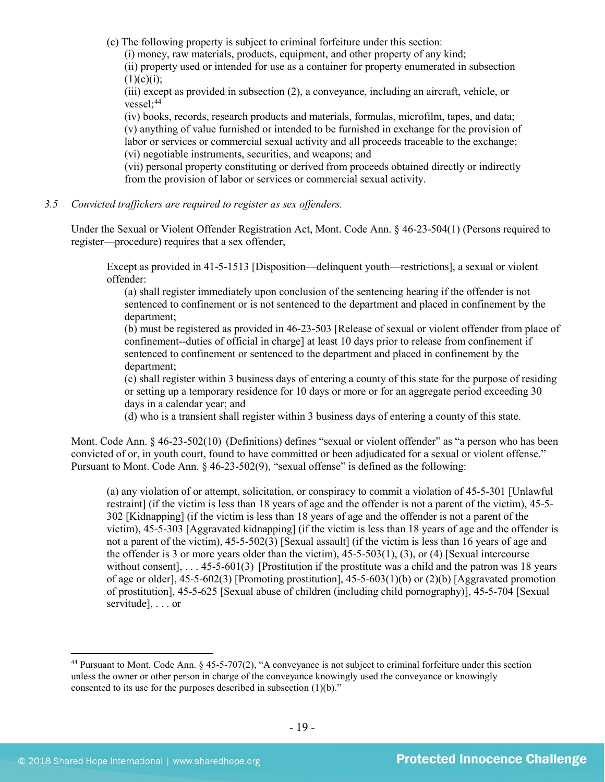(c) The following property is subject to criminal forfeiture under this section:

(i) money, raw materials, products, equipment, and other property of any kind;

(ii) property used or intended for use as a container for property enumerated in subsection  $(1)(c)(i)$ ;

(iii) except as provided in subsection (2), a conveyance, including an aircraft, vehicle, or vessel;<sup>44</sup>

(iv) books, records, research products and materials, formulas, microfilm, tapes, and data; (v) anything of value furnished or intended to be furnished in exchange for the provision of labor or services or commercial sexual activity and all proceeds traceable to the exchange; (vi) negotiable instruments, securities, and weapons; and

(vii) personal property constituting or derived from proceeds obtained directly or indirectly from the provision of labor or services or commercial sexual activity.

*3.5 Convicted traffickers are required to register as sex offenders.*

Under the Sexual or Violent Offender Registration Act, Mont. Code Ann. § 46-23-504(1) (Persons required to register—procedure) requires that a sex offender,

Except as provided in 41-5-1513 [Disposition—delinquent youth—restrictions], a sexual or violent offender:

(a) shall register immediately upon conclusion of the sentencing hearing if the offender is not sentenced to confinement or is not sentenced to the department and placed in confinement by the department;

(b) must be registered as provided in 46-23-503 [Release of sexual or violent offender from place of confinement--duties of official in charge] at least 10 days prior to release from confinement if sentenced to confinement or sentenced to the department and placed in confinement by the department;

(c) shall register within 3 business days of entering a county of this state for the purpose of residing or setting up a temporary residence for 10 days or more or for an aggregate period exceeding 30 days in a calendar year; and

(d) who is a transient shall register within 3 business days of entering a county of this state.

Mont. Code Ann. § 46-23-502(10) (Definitions) defines "sexual or violent offender" as "a person who has been convicted of or, in youth court, found to have committed or been adjudicated for a sexual or violent offense." Pursuant to Mont. Code Ann. § 46-23-502(9), "sexual offense" is defined as the following:

(a) any violation of or attempt, solicitation, or conspiracy to commit a violation of 45-5-301 [Unlawful restraint] (if the victim is less than 18 years of age and the offender is not a parent of the victim), 45-5- 302 [Kidnapping] (if the victim is less than 18 years of age and the offender is not a parent of the victim), 45-5-303 [Aggravated kidnapping] (if the victim is less than 18 years of age and the offender is not a parent of the victim), 45-5-502(3) [Sexual assault] (if the victim is less than 16 years of age and the offender is 3 or more years older than the victim), 45-5-503(1), (3), or (4) [Sexual intercourse without consent], ... 45-5-601(3) [Prostitution if the prostitute was a child and the patron was 18 years of age or older],  $45-5-602(3)$  [Promoting prostitution],  $45-5-603(1)(b)$  or  $(2)(b)$  [Aggravated promotion of prostitution], 45-5-625 [Sexual abuse of children (including child pornography)], 45-5-704 [Sexual servitude], . . . or

<span id="page-18-0"></span> <sup>44</sup> Pursuant to Mont. Code Ann. § 45-5-707(2), "A conveyance is not subject to criminal forfeiture under this section unless the owner or other person in charge of the conveyance knowingly used the conveyance or knowingly consented to its use for the purposes described in subsection (1)(b)."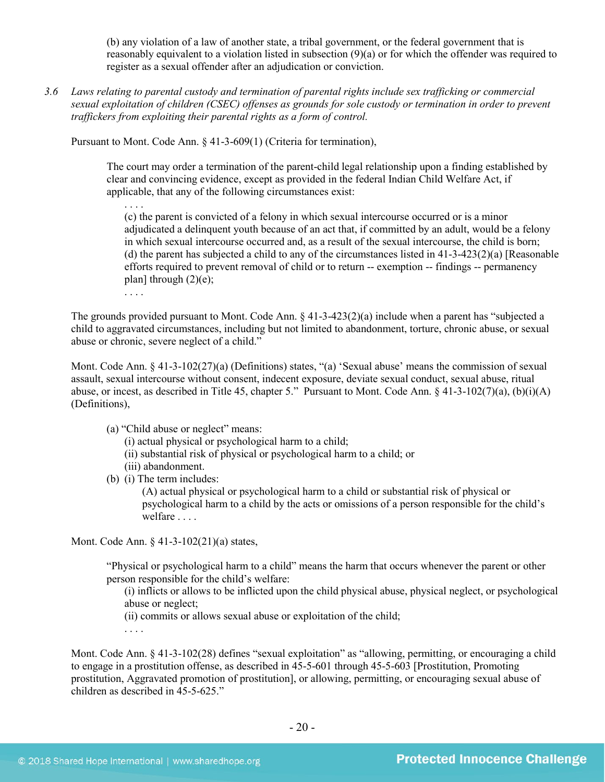(b) any violation of a law of another state, a tribal government, or the federal government that is reasonably equivalent to a violation listed in subsection (9)(a) or for which the offender was required to register as a sexual offender after an adjudication or conviction.

*3.6 Laws relating to parental custody and termination of parental rights include sex trafficking or commercial sexual exploitation of children (CSEC) offenses as grounds for sole custody or termination in order to prevent traffickers from exploiting their parental rights as a form of control.*

Pursuant to Mont. Code Ann. § 41-3-609(1) (Criteria for termination),

The court may order a termination of the parent-child legal relationship upon a finding established by clear and convincing evidence, except as provided in the federal Indian Child Welfare Act, if applicable, that any of the following circumstances exist:

. . . . (c) the parent is convicted of a felony in which sexual intercourse occurred or is a minor adjudicated a delinquent youth because of an act that, if committed by an adult, would be a felony in which sexual intercourse occurred and, as a result of the sexual intercourse, the child is born; (d) the parent has subjected a child to any of the circumstances listed in  $41-3-423(2)(a)$  [Reasonable efforts required to prevent removal of child or to return -- exemption -- findings -- permanency plan] through  $(2)(e)$ ;

. . . .

The grounds provided pursuant to Mont. Code Ann. § 41-3-423(2)(a) include when a parent has "subjected a child to aggravated circumstances, including but not limited to abandonment, torture, chronic abuse, or sexual abuse or chronic, severe neglect of a child."

Mont. Code Ann. § 41-3-102(27)(a) (Definitions) states, "(a) 'Sexual abuse' means the commission of sexual assault, sexual intercourse without consent, indecent exposure, deviate sexual conduct, sexual abuse, ritual abuse, or incest, as described in Title 45, chapter 5." Pursuant to Mont. Code Ann.  $\S$  41-3-102(7)(a), (b)(i)(A) (Definitions),

(a) "Child abuse or neglect" means:

(i) actual physical or psychological harm to a child;

- (ii) substantial risk of physical or psychological harm to a child; or
- (iii) abandonment.
- (b) (i) The term includes:

(A) actual physical or psychological harm to a child or substantial risk of physical or psychological harm to a child by the acts or omissions of a person responsible for the child's welfare . . . .

Mont. Code Ann. § 41-3-102(21)(a) states,

"Physical or psychological harm to a child" means the harm that occurs whenever the parent or other person responsible for the child's welfare:

(i) inflicts or allows to be inflicted upon the child physical abuse, physical neglect, or psychological abuse or neglect;

(ii) commits or allows sexual abuse or exploitation of the child;

. . . .

Mont. Code Ann. § 41-3-102(28) defines "sexual exploitation" as "allowing, permitting, or encouraging a child to engage in a prostitution offense, as described in 45-5-601 through 45-5-603 [Prostitution, Promoting prostitution, Aggravated promotion of prostitution], or allowing, permitting, or encouraging sexual abuse of children as described in  $45-5-625$ ."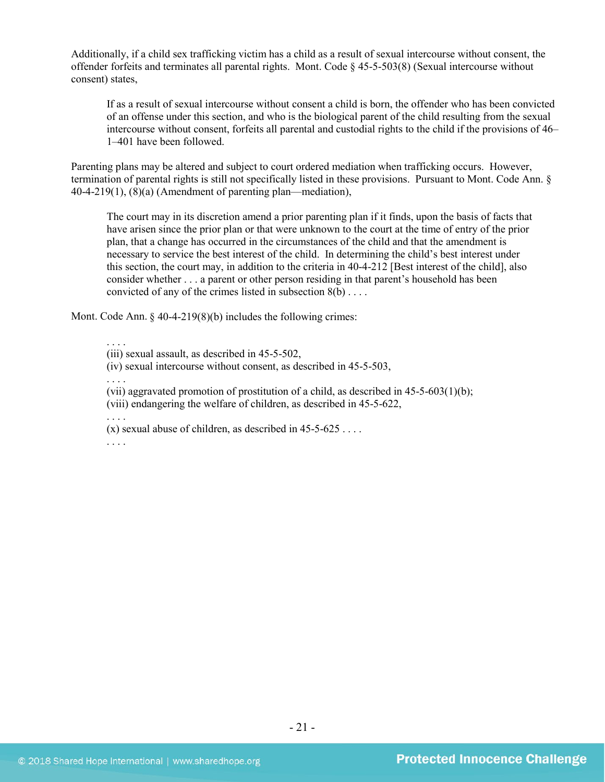Additionally, if a child sex trafficking victim has a child as a result of sexual intercourse without consent, the offender forfeits and terminates all parental rights. Mont. Code § 45-5-503(8) (Sexual intercourse without consent) states,

If as a result of sexual intercourse without consent a child is born, the offender who has been convicted of an offense under this section, and who is the biological parent of the child resulting from the sexual intercourse without consent, forfeits all parental and custodial rights to the child if the provisions of 46– 1–401 have been followed.

Parenting plans may be altered and subject to court ordered mediation when trafficking occurs. However, termination of parental rights is still not specifically listed in these provisions. Pursuant to Mont. Code Ann. § 40-4-219(1), (8)(a) (Amendment of parenting plan—mediation),

The court may in its discretion amend a prior parenting plan if it finds, upon the basis of facts that have arisen since the prior plan or that were unknown to the court at the time of entry of the prior plan, that a change has occurred in the circumstances of the child and that the amendment is necessary to service the best interest of the child. In determining the child's best interest under this section, the court may, in addition to the criteria in 40-4-212 [Best interest of the child], also consider whether . . . a parent or other person residing in that parent's household has been convicted of any of the crimes listed in subsection 8(b) . . . .

Mont. Code Ann.  $\frac{6}{9}$  40-4-219(8)(b) includes the following crimes:

. . . .

(iii) sexual assault, as described in 45-5-502,

(iv) sexual intercourse without consent, as described in 45-5-503,

. . . .

(vii) aggravated promotion of prostitution of a child, as described in 45-5-603(1)(b); (viii) endangering the welfare of children, as described in 45-5-622,

. . . .

(x) sexual abuse of children, as described in  $45-5-625...$ 

. . . .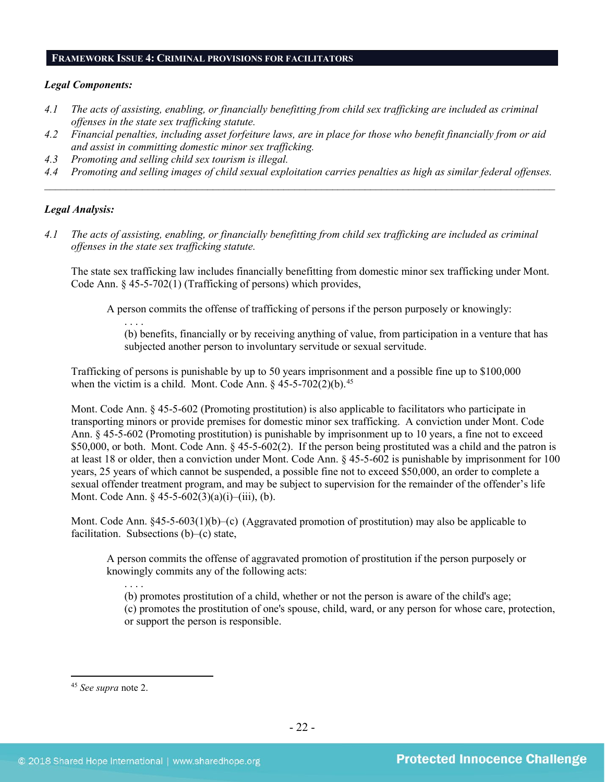#### **FRAMEWORK ISSUE 4: CRIMINAL PROVISIONS FOR FACILITATORS**

#### *Legal Components:*

- *4.1 The acts of assisting, enabling, or financially benefitting from child sex trafficking are included as criminal offenses in the state sex trafficking statute.*
- *4.2 Financial penalties, including asset forfeiture laws, are in place for those who benefit financially from or aid and assist in committing domestic minor sex trafficking.*
- *4.3 Promoting and selling child sex tourism is illegal.*

. . . .

*4.4 Promoting and selling images of child sexual exploitation carries penalties as high as similar federal offenses. \_\_\_\_\_\_\_\_\_\_\_\_\_\_\_\_\_\_\_\_\_\_\_\_\_\_\_\_\_\_\_\_\_\_\_\_\_\_\_\_\_\_\_\_\_\_\_\_\_\_\_\_\_\_\_\_\_\_\_\_\_\_\_\_\_\_\_\_\_\_\_\_\_\_\_\_\_\_\_\_\_\_\_\_\_\_\_\_\_\_\_\_\_\_*

#### *Legal Analysis:*

*4.1 The acts of assisting, enabling, or financially benefitting from child sex trafficking are included as criminal offenses in the state sex trafficking statute.*

The state sex trafficking law includes financially benefitting from domestic minor sex trafficking under Mont. Code Ann. § 45-5-702(1) (Trafficking of persons) which provides,

A person commits the offense of trafficking of persons if the person purposely or knowingly:

(b) benefits, financially or by receiving anything of value, from participation in a venture that has subjected another person to involuntary servitude or sexual servitude.

Trafficking of persons is punishable by up to 50 years imprisonment and a possible fine up to \$100,000 when the victim is a child. Mont. Code Ann.  $\S$  [45](#page-21-0)-5-702(2)(b).<sup>45</sup>

Mont. Code Ann. § 45-5-602 (Promoting prostitution) is also applicable to facilitators who participate in transporting minors or provide premises for domestic minor sex trafficking. A conviction under Mont. Code Ann. § 45-5-602 (Promoting prostitution) is punishable by imprisonment up to 10 years, a fine not to exceed \$50,000, or both. Mont. Code Ann. § 45-5-602(2). If the person being prostituted was a child and the patron is at least 18 or older, then a conviction under Mont. Code Ann. § 45-5-602 is punishable by imprisonment for 100 years, 25 years of which cannot be suspended, a possible fine not to exceed \$50,000, an order to complete a sexual offender treatment program, and may be subject to supervision for the remainder of the offender's life Mont. Code Ann. § 45-5-602(3)(a)(i)–(iii), (b).

Mont. Code Ann. §45-5-603(1)(b)–(c) (Aggravated promotion of prostitution) may also be applicable to facilitation. Subsections (b)–(c) state,

A person commits the offense of aggravated promotion of prostitution if the person purposely or knowingly commits any of the following acts:

(b) promotes prostitution of a child, whether or not the person is aware of the child's age; (c) promotes the prostitution of one's spouse, child, ward, or any person for whose care, protection, or support the person is responsible.

<span id="page-21-0"></span> <sup>45</sup> *See supra* note [2.](#page-0-2)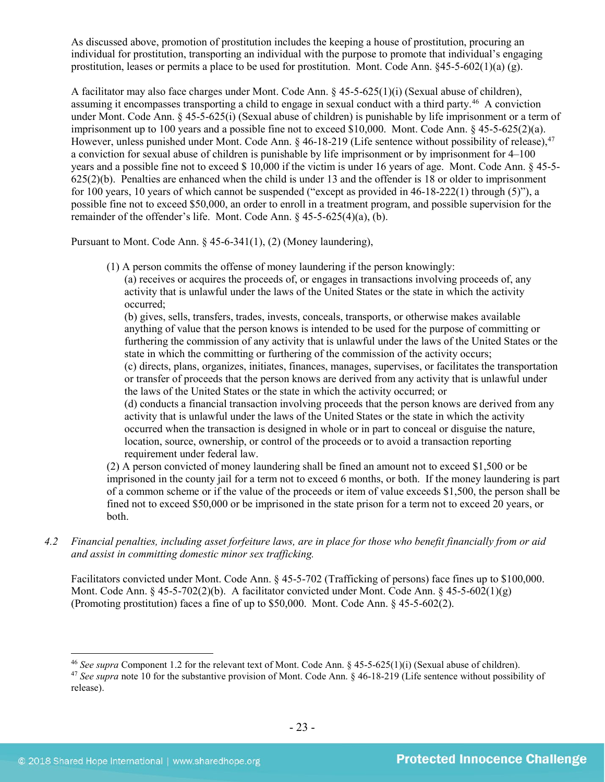As discussed above, promotion of prostitution includes the keeping a house of prostitution, procuring an individual for prostitution, transporting an individual with the purpose to promote that individual's engaging prostitution, leases or permits a place to be used for prostitution. Mont. Code Ann.  $§45-5-602(1)(a)$  (g).

A facilitator may also face charges under Mont. Code Ann. § 45-5-625(1)(i) (Sexual abuse of children), assuming it encompasses transporting a child to engage in sexual conduct with a third party.[46](#page-22-0) A conviction under Mont. Code Ann. § 45-5-625(i) (Sexual abuse of children) is punishable by life imprisonment or a term of imprisonment up to 100 years and a possible fine not to exceed \$10,000. Mont. Code Ann. § 45-5-625(2)(a). However, unless punished under Mont. Code Ann. § 46-18-219 (Life sentence without possibility of release),<sup>[47](#page-22-1)</sup> a conviction for sexual abuse of children is punishable by life imprisonment or by imprisonment for 4–100 years and a possible fine not to exceed \$ 10,000 if the victim is under 16 years of age. Mont. Code Ann. § 45-5- 625(2)(b). Penalties are enhanced when the child is under 13 and the offender is 18 or older to imprisonment for 100 years, 10 years of which cannot be suspended ("except as provided in 46-18-222(1) through (5)"), a possible fine not to exceed \$50,000, an order to enroll in a treatment program, and possible supervision for the remainder of the offender's life. Mont. Code Ann. § 45-5-625(4)(a), (b).

Pursuant to Mont. Code Ann. § 45-6-341(1), (2) (Money laundering),

(1) A person commits the offense of money laundering if the person knowingly:

(a) receives or acquires the proceeds of, or engages in transactions involving proceeds of, any activity that is unlawful under the laws of the United States or the state in which the activity occurred;

(b) gives, sells, transfers, trades, invests, conceals, transports, or otherwise makes available anything of value that the person knows is intended to be used for the purpose of committing or furthering the commission of any activity that is unlawful under the laws of the United States or the state in which the committing or furthering of the commission of the activity occurs;

(c) directs, plans, organizes, initiates, finances, manages, supervises, or facilitates the transportation or transfer of proceeds that the person knows are derived from any activity that is unlawful under the laws of the United States or the state in which the activity occurred; or

(d) conducts a financial transaction involving proceeds that the person knows are derived from any activity that is unlawful under the laws of the United States or the state in which the activity occurred when the transaction is designed in whole or in part to conceal or disguise the nature, location, source, ownership, or control of the proceeds or to avoid a transaction reporting requirement under federal law.

(2) A person convicted of money laundering shall be fined an amount not to exceed \$1,500 or be imprisoned in the county jail for a term not to exceed 6 months, or both. If the money laundering is part of a common scheme or if the value of the proceeds or item of value exceeds \$1,500, the person shall be fined not to exceed \$50,000 or be imprisoned in the state prison for a term not to exceed 20 years, or both.

*4.2 Financial penalties, including asset forfeiture laws, are in place for those who benefit financially from or aid and assist in committing domestic minor sex trafficking.*

Facilitators convicted under Mont. Code Ann. § 45-5-702 (Trafficking of persons) face fines up to \$100,000. Mont. Code Ann.  $\S 45-5-702(2)(b)$ . A facilitator convicted under Mont. Code Ann.  $\S 45-5-602(1)(g)$ (Promoting prostitution) faces a fine of up to \$50,000. Mont. Code Ann. § 45-5-602(2).

<span id="page-22-0"></span> <sup>46</sup> *See supra* Component 1.2 for the relevant text of Mont. Code Ann. § 45-5-625(1)(i) (Sexual abuse of children).

<span id="page-22-1"></span><sup>47</sup> *See supra* note [10](#page-3-3) for the substantive provision of Mont. Code Ann. § 46-18-219 (Life sentence without possibility of release).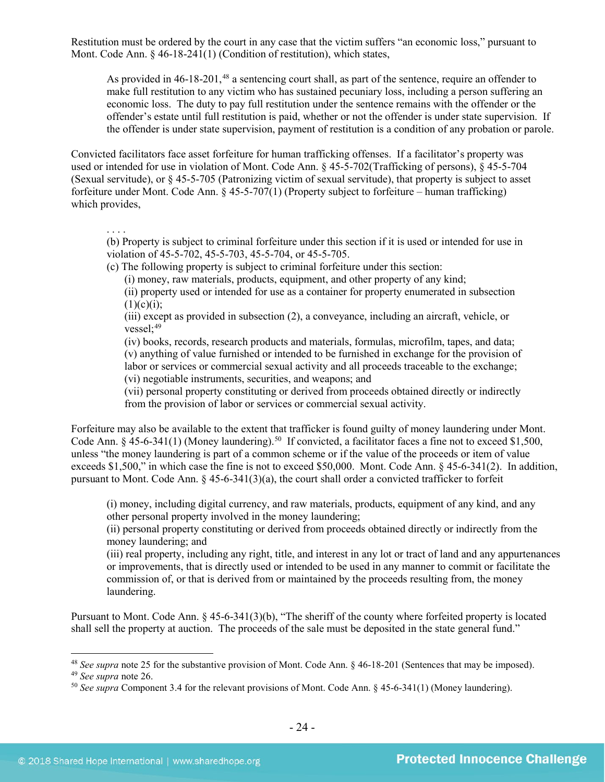Restitution must be ordered by the court in any case that the victim suffers "an economic loss," pursuant to Mont. Code Ann. § 46-18-241(1) (Condition of restitution), which states,

As provided in 46-18-201,<sup>[48](#page-23-0)</sup> a sentencing court shall, as part of the sentence, require an offender to make full restitution to any victim who has sustained pecuniary loss, including a person suffering an economic loss. The duty to pay full restitution under the sentence remains with the offender or the offender's estate until full restitution is paid, whether or not the offender is under state supervision. If the offender is under state supervision, payment of restitution is a condition of any probation or parole.

Convicted facilitators face asset forfeiture for human trafficking offenses. If a facilitator's property was used or intended for use in violation of Mont. Code Ann. § 45-5-702(Trafficking of persons), § 45-5-704 (Sexual servitude), or § 45-5-705 (Patronizing victim of sexual servitude), that property is subject to asset forfeiture under Mont. Code Ann. § 45-5-707(1) (Property subject to forfeiture – human trafficking) which provides,

. . . .

(b) Property is subject to criminal forfeiture under this section if it is used or intended for use in violation of 45-5-702, 45-5-703, 45-5-704, or 45-5-705.

(c) The following property is subject to criminal forfeiture under this section:

(i) money, raw materials, products, equipment, and other property of any kind;

(ii) property used or intended for use as a container for property enumerated in subsection  $(1)(c)(i)$ ;

(iii) except as provided in subsection (2), a conveyance, including an aircraft, vehicle, or vessel: $49$ 

(iv) books, records, research products and materials, formulas, microfilm, tapes, and data; (v) anything of value furnished or intended to be furnished in exchange for the provision of labor or services or commercial sexual activity and all proceeds traceable to the exchange;

(vi) negotiable instruments, securities, and weapons; and

(vii) personal property constituting or derived from proceeds obtained directly or indirectly from the provision of labor or services or commercial sexual activity.

Forfeiture may also be available to the extent that trafficker is found guilty of money laundering under Mont. Code Ann.  $\S$  45-6-341(1) (Money laundering).<sup>[50](#page-23-2)</sup> If convicted, a facilitator faces a fine not to exceed \$1,500, unless "the money laundering is part of a common scheme or if the value of the proceeds or item of value exceeds \$1,500," in which case the fine is not to exceed \$50,000. Mont. Code Ann. § 45-6-341(2). In addition, pursuant to Mont. Code Ann. § 45-6-341(3)(a), the court shall order a convicted trafficker to forfeit

(i) money, including digital currency, and raw materials, products, equipment of any kind, and any other personal property involved in the money laundering;

(ii) personal property constituting or derived from proceeds obtained directly or indirectly from the money laundering; and

(iii) real property, including any right, title, and interest in any lot or tract of land and any appurtenances or improvements, that is directly used or intended to be used in any manner to commit or facilitate the commission of, or that is derived from or maintained by the proceeds resulting from, the money laundering.

Pursuant to Mont. Code Ann. § 45-6-341(3)(b), "The sheriff of the county where forfeited property is located shall sell the property at auction. The proceeds of the sale must be deposited in the state general fund."

<span id="page-23-1"></span><span id="page-23-0"></span> <sup>48</sup> *See supra* note [25](#page-11-2) for the substantive provision of Mont. Code Ann. § 46-18-201 (Sentences that may be imposed). <sup>49</sup> *See supra* note [26.](#page-11-3)

<span id="page-23-2"></span><sup>50</sup> *See supra* Component 3.4 for the relevant provisions of Mont. Code Ann. § 45-6-341(1) (Money laundering).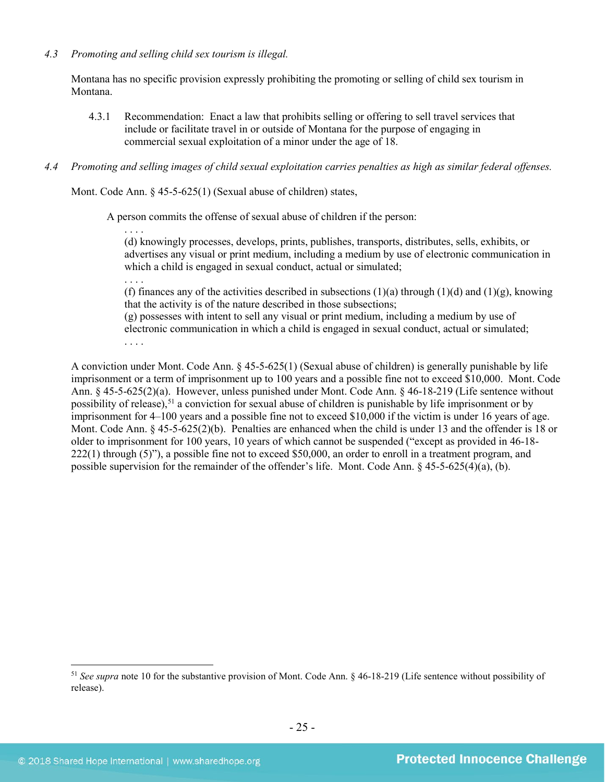# *4.3 Promoting and selling child sex tourism is illegal.*

Montana has no specific provision expressly prohibiting the promoting or selling of child sex tourism in Montana.

4.3.1 Recommendation: Enact a law that prohibits selling or offering to sell travel services that include or facilitate travel in or outside of Montana for the purpose of engaging in commercial sexual exploitation of a minor under the age of 18.

# *4.4 Promoting and selling images of child sexual exploitation carries penalties as high as similar federal offenses.*

Mont. Code Ann. § 45-5-625(1) (Sexual abuse of children) states,

A person commits the offense of sexual abuse of children if the person:

. . . . (d) knowingly processes, develops, prints, publishes, transports, distributes, sells, exhibits, or advertises any visual or print medium, including a medium by use of electronic communication in which a child is engaged in sexual conduct, actual or simulated;

. . . .

(f) finances any of the activities described in subsections (1)(a) through (1)(d) and (1)(g), knowing that the activity is of the nature described in those subsections;

(g) possesses with intent to sell any visual or print medium, including a medium by use of electronic communication in which a child is engaged in sexual conduct, actual or simulated; . . . .

A conviction under Mont. Code Ann. § 45-5-625(1) (Sexual abuse of children) is generally punishable by life imprisonment or a term of imprisonment up to 100 years and a possible fine not to exceed \$10,000. Mont. Code Ann. § 45-5-625(2)(a). However, unless punished under Mont. Code Ann. § 46-18-219 (Life sentence without possibility of release),<sup>[51](#page-24-0)</sup> a conviction for sexual abuse of children is punishable by life imprisonment or by imprisonment for 4–100 years and a possible fine not to exceed \$10,000 if the victim is under 16 years of age. Mont. Code Ann. § 45-5-625(2)(b). Penalties are enhanced when the child is under 13 and the offender is 18 or older to imprisonment for 100 years, 10 years of which cannot be suspended ("except as provided in 46-18- 222(1) through (5)"), a possible fine not to exceed \$50,000, an order to enroll in a treatment program, and possible supervision for the remainder of the offender's life. Mont. Code Ann. § 45-5-625(4)(a), (b).

<span id="page-24-0"></span> <sup>51</sup> *See supra* note [10](#page-3-3) for the substantive provision of Mont. Code Ann. § 46-18-219 (Life sentence without possibility of release).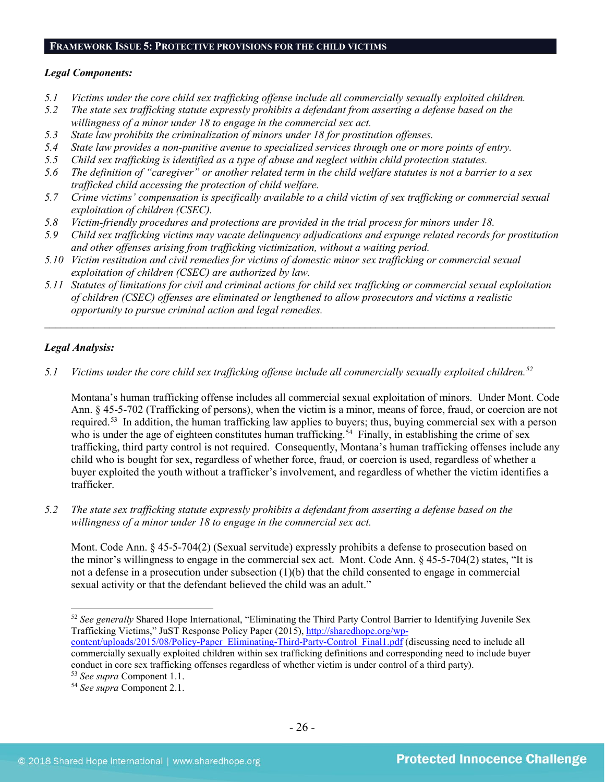#### **FRAMEWORK ISSUE 5: PROTECTIVE PROVISIONS FOR THE CHILD VICTIMS**

#### *Legal Components:*

- *5.1 Victims under the core child sex trafficking offense include all commercially sexually exploited children.*
- *5.2 The state sex trafficking statute expressly prohibits a defendant from asserting a defense based on the willingness of a minor under 18 to engage in the commercial sex act.*
- *5.3 State law prohibits the criminalization of minors under 18 for prostitution offenses.*
- *5.4 State law provides a non-punitive avenue to specialized services through one or more points of entry.*
- *5.5 Child sex trafficking is identified as a type of abuse and neglect within child protection statutes.*
- *5.6 The definition of "caregiver" or another related term in the child welfare statutes is not a barrier to a sex trafficked child accessing the protection of child welfare.*
- *5.7 Crime victims' compensation is specifically available to a child victim of sex trafficking or commercial sexual exploitation of children (CSEC).*
- *5.8 Victim-friendly procedures and protections are provided in the trial process for minors under 18.*
- *5.9 Child sex trafficking victims may vacate delinquency adjudications and expunge related records for prostitution and other offenses arising from trafficking victimization, without a waiting period.*
- *5.10 Victim restitution and civil remedies for victims of domestic minor sex trafficking or commercial sexual exploitation of children (CSEC) are authorized by law.*
- *5.11 Statutes of limitations for civil and criminal actions for child sex trafficking or commercial sexual exploitation of children (CSEC) offenses are eliminated or lengthened to allow prosecutors and victims a realistic opportunity to pursue criminal action and legal remedies.*

*\_\_\_\_\_\_\_\_\_\_\_\_\_\_\_\_\_\_\_\_\_\_\_\_\_\_\_\_\_\_\_\_\_\_\_\_\_\_\_\_\_\_\_\_\_\_\_\_\_\_\_\_\_\_\_\_\_\_\_\_\_\_\_\_\_\_\_\_\_\_\_\_\_\_\_\_\_\_\_\_\_\_\_\_\_\_\_\_\_\_\_\_\_\_*

# *Legal Analysis:*

*5.1 Victims under the core child sex trafficking offense include all commercially sexually exploited children. [52](#page-25-0)*

Montana's human trafficking offense includes all commercial sexual exploitation of minors. Under Mont. Code Ann. § 45-5-702 (Trafficking of persons), when the victim is a minor, means of force, fraud, or coercion are not required.<sup>[53](#page-25-1)</sup> In addition, the human trafficking law applies to buyers; thus, buying commercial sex with a person who is under the age of eighteen constitutes human trafficking.<sup>[54](#page-25-2)</sup> Finally, in establishing the crime of sex trafficking, third party control is not required. Consequently, Montana's human trafficking offenses include any child who is bought for sex, regardless of whether force, fraud, or coercion is used, regardless of whether a buyer exploited the youth without a trafficker's involvement, and regardless of whether the victim identifies a trafficker.

*5.2 The state sex trafficking statute expressly prohibits a defendant from asserting a defense based on the willingness of a minor under 18 to engage in the commercial sex act.* 

Mont. Code Ann. § 45-5-704(2) (Sexual servitude) expressly prohibits a defense to prosecution based on the minor's willingness to engage in the commercial sex act. Mont. Code Ann. § 45-5-704(2) states, "It is not a defense in a prosecution under subsection (1)(b) that the child consented to engage in commercial sexual activity or that the defendant believed the child was an adult."

<span id="page-25-0"></span> <sup>52</sup> *See generally* Shared Hope International, "Eliminating the Third Party Control Barrier to Identifying Juvenile Sex Trafficking Victims," JuST Response Policy Paper (2015), [http://sharedhope.org/wp-](http://sharedhope.org/wp-content/uploads/2015/08/Policy-Paper_Eliminating-Third-Party-Control_Final1.pdf)

[content/uploads/2015/08/Policy-Paper\\_Eliminating-Third-Party-Control\\_Final1.pdf](http://sharedhope.org/wp-content/uploads/2015/08/Policy-Paper_Eliminating-Third-Party-Control_Final1.pdf) (discussing need to include all commercially sexually exploited children within sex trafficking definitions and corresponding need to include buyer conduct in core sex trafficking offenses regardless of whether victim is under control of a third party).<br><sup>53</sup> See supra Component 1.1.

<span id="page-25-1"></span>

<span id="page-25-2"></span><sup>&</sup>lt;sup>54</sup> See supra Component 2.1.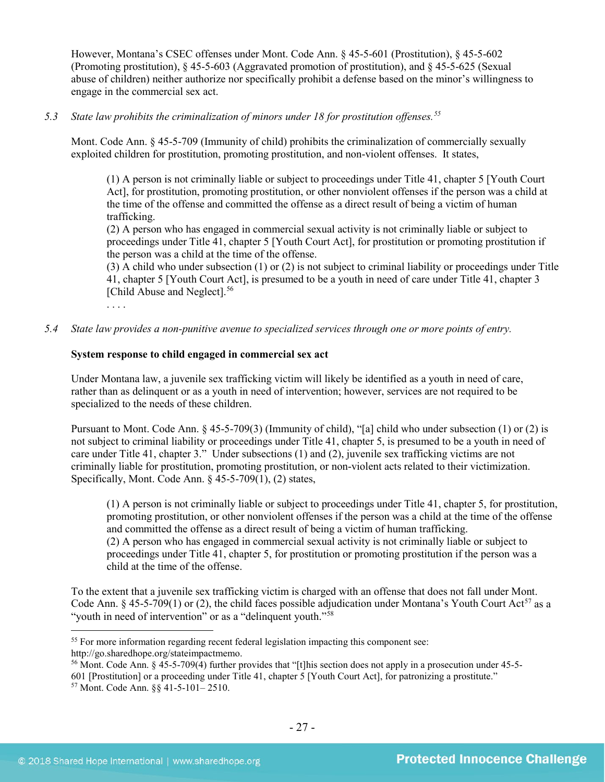However, Montana's CSEC offenses under Mont. Code Ann. § 45-5-601 (Prostitution), § 45-5-602 (Promoting prostitution), § 45-5-603 (Aggravated promotion of prostitution), and § 45-5-625 (Sexual abuse of children) neither authorize nor specifically prohibit a defense based on the minor's willingness to engage in the commercial sex act.

# *5.3 State law prohibits the criminalization of minors under 18 for prostitution offenses.[55](#page-26-0)*

Mont. Code Ann. § 45-5-709 (Immunity of child) prohibits the criminalization of commercially sexually exploited children for prostitution, promoting prostitution, and non-violent offenses. It states,

(1) A person is not criminally liable or subject to proceedings under Title 41, chapter 5 [Youth Court Act], for prostitution, promoting prostitution, or other nonviolent offenses if the person was a child at the time of the offense and committed the offense as a direct result of being a victim of human trafficking.

(2) A person who has engaged in commercial sexual activity is not criminally liable or subject to proceedings under Title 41, chapter 5 [Youth Court Act], for prostitution or promoting prostitution if the person was a child at the time of the offense.

(3) A child who under subsection (1) or (2) is not subject to criminal liability or proceedings under Title 41, chapter 5 [Youth Court Act], is presumed to be a youth in need of care under Title 41, chapter 3 [Child Abuse and Neglect].<sup>[56](#page-26-1)</sup>

*5.4 State law provides a non-punitive avenue to specialized services through one or more points of entry.*

# **System response to child engaged in commercial sex act**

. . . .

Under Montana law, a juvenile sex trafficking victim will likely be identified as a youth in need of care, rather than as delinquent or as a youth in need of intervention; however, services are not required to be specialized to the needs of these children.

<span id="page-26-3"></span>Pursuant to Mont. Code Ann. § 45-5-709(3) (Immunity of child), "[a] child who under subsection (1) or (2) is not subject to criminal liability or proceedings under Title 41, chapter 5, is presumed to be a youth in need of care under Title 41, chapter 3." Under subsections (1) and (2), juvenile sex trafficking victims are not criminally liable for prostitution, promoting prostitution, or non-violent acts related to their victimization. Specifically, Mont. Code Ann. § 45-5-709(1), (2) states,

(1) A person is not criminally liable or subject to proceedings under Title 41, chapter 5, for prostitution, promoting prostitution, or other nonviolent offenses if the person was a child at the time of the offense and committed the offense as a direct result of being a victim of human trafficking. (2) A person who has engaged in commercial sexual activity is not criminally liable or subject to proceedings under Title 41, chapter 5, for prostitution or promoting prostitution if the person was a child at the time of the offense.

To the extent that a juvenile sex trafficking victim is charged with an offense that does not fall under Mont. Code Ann. § 45-5-709(1) or (2), the child faces possible adjudication under Montana's Youth Court Act<sup>[57](#page-26-2)</sup> as a "youth in need of intervention" or as a "delinquent youth."<sup>[58](#page-26-3)</sup>

<span id="page-26-0"></span><sup>&</sup>lt;sup>55</sup> For more information regarding recent federal legislation impacting this component see: http://go.sharedhope.org/stateimpactmemo.

<sup>56</sup> Mont. Code Ann. § 45-5-709(4) further provides that "[t]his section does not apply in a prosecution under 45-5-

<span id="page-26-2"></span><span id="page-26-1"></span><sup>601 [</sup>Prostitution] or a proceeding under Title 41, chapter 5 [Youth Court Act], for patronizing a prostitute."

<sup>57</sup> Mont. Code Ann. §§ 41-5-101– 2510.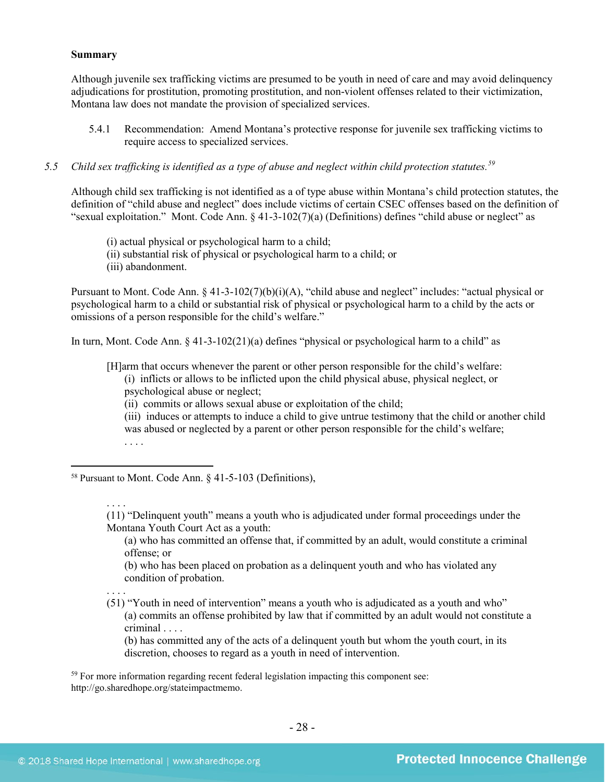#### **Summary**

Although juvenile sex trafficking victims are presumed to be youth in need of care and may avoid delinquency adjudications for prostitution, promoting prostitution, and non-violent offenses related to their victimization, Montana law does not mandate the provision of specialized services.

5.4.1 Recommendation: Amend Montana's protective response for juvenile sex trafficking victims to require access to specialized services.

# *5.5 Child sex trafficking is identified as a type of abuse and neglect within child protection statutes.[59](#page-27-0)*

Although child sex trafficking is not identified as a of type abuse within Montana's child protection statutes, the definition of "child abuse and neglect" does include victims of certain CSEC offenses based on the definition of "sexual exploitation." Mont. Code Ann. § 41-3-102(7)(a) (Definitions) defines "child abuse or neglect" as

- (i) actual physical or psychological harm to a child;
- (ii) substantial risk of physical or psychological harm to a child; or
- (iii) abandonment.

Pursuant to Mont. Code Ann. § 41-3-102(7)(b)(i)(A), "child abuse and neglect" includes: "actual physical or psychological harm to a child or substantial risk of physical or psychological harm to a child by the acts or omissions of a person responsible for the child's welfare."

In turn, Mont. Code Ann. § 41-3-102(21)(a) defines "physical or psychological harm to a child" as

[H]arm that occurs whenever the parent or other person responsible for the child's welfare:

- (i) inflicts or allows to be inflicted upon the child physical abuse, physical neglect, or psychological abuse or neglect;
- (ii) commits or allows sexual abuse or exploitation of the child;
- (iii) induces or attempts to induce a child to give untrue testimony that the child or another child was abused or neglected by a parent or other person responsible for the child's welfare; . . . .

58 Pursuant to Mont. Code Ann. § 41-5-103 (Definitions),

(11) "Delinquent youth" means a youth who is adjudicated under formal proceedings under the Montana Youth Court Act as a youth:

(a) who has committed an offense that, if committed by an adult, would constitute a criminal offense; or

(b) who has been placed on probation as a delinquent youth and who has violated any condition of probation.

(51) "Youth in need of intervention" means a youth who is adjudicated as a youth and who" (a) commits an offense prohibited by law that if committed by an adult would not constitute a criminal . . . .

(b) has committed any of the acts of a delinquent youth but whom the youth court, in its discretion, chooses to regard as a youth in need of intervention.

<span id="page-27-0"></span><sup>59</sup> For more information regarding recent federal legislation impacting this component see: http://go.sharedhope.org/stateimpactmemo.

. . . .

. . . .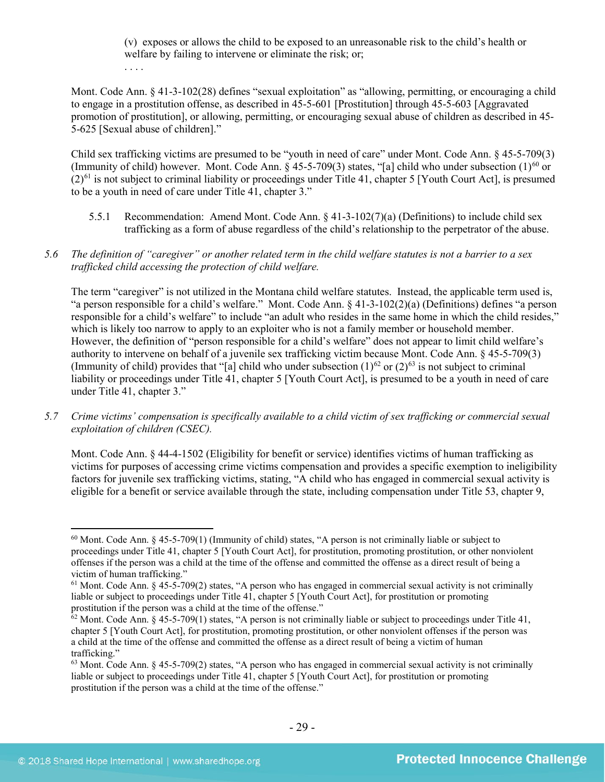(v) exposes or allows the child to be exposed to an unreasonable risk to the child's health or welfare by failing to intervene or eliminate the risk; or;

. . . .

Mont. Code Ann. § 41-3-102(28) defines "sexual exploitation" as "allowing, permitting, or encouraging a child to engage in a prostitution offense, as described in 45-5-601 [Prostitution] through 45-5-603 [Aggravated promotion of prostitution], or allowing, permitting, or encouraging sexual abuse of children as described in 45- 5-625 [Sexual abuse of children]."

Child sex trafficking victims are presumed to be "youth in need of care" under Mont. Code Ann. § 45-5-709(3) (Immunity of child) however. Mont. Code Ann.  $\S$  45-5-709(3) states, "[a] child who under subsection (1)<sup>[60](#page-28-0)</sup> or  $(2)^{61}$  $(2)^{61}$  $(2)^{61}$  is not subject to criminal liability or proceedings under Title 41, chapter 5 [Youth Court Act], is presumed to be a youth in need of care under Title 41, chapter 3."

- 5.5.1 Recommendation: Amend Mont. Code Ann. § 41-3-102(7)(a) (Definitions) to include child sex trafficking as a form of abuse regardless of the child's relationship to the perpetrator of the abuse.
- *5.6 The definition of "caregiver" or another related term in the child welfare statutes is not a barrier to a sex trafficked child accessing the protection of child welfare.*

The term "caregiver" is not utilized in the Montana child welfare statutes. Instead, the applicable term used is, "a person responsible for a child's welfare." Mont. Code Ann. § 41-3-102(2)(a) (Definitions) defines "a person responsible for a child's welfare" to include "an adult who resides in the same home in which the child resides," which is likely too narrow to apply to an exploiter who is not a family member or household member. However, the definition of "person responsible for a child's welfare" does not appear to limit child welfare's authority to intervene on behalf of a juvenile sex trafficking victim because Mont. Code Ann. § 45-5-709(3) (Immunity of child) provides that "[a] child who under subsection  $(1)^{62}$  $(1)^{62}$  $(1)^{62}$  or  $(2)^{63}$  $(2)^{63}$  $(2)^{63}$  is not subject to criminal liability or proceedings under Title 41, chapter 5 [Youth Court Act], is presumed to be a youth in need of care under Title 41, chapter 3."

*5.7 Crime victims' compensation is specifically available to a child victim of sex trafficking or commercial sexual exploitation of children (CSEC).*

Mont. Code Ann. § 44-4-1502 (Eligibility for benefit or service) identifies victims of human trafficking as victims for purposes of accessing crime victims compensation and provides a specific exemption to ineligibility factors for juvenile sex trafficking victims, stating, "A child who has engaged in commercial sexual activity is eligible for a benefit or service available through the state, including compensation under Title 53, chapter 9,

<span id="page-28-0"></span> $60$  Mont. Code Ann.  $§$  45-5-709(1) (Immunity of child) states, "A person is not criminally liable or subject to proceedings under Title 41, chapter 5 [Youth Court Act], for prostitution, promoting prostitution, or other nonviolent offenses if the person was a child at the time of the offense and committed the offense as a direct result of being a victim of human trafficking."

<span id="page-28-1"></span> $61$  Mont. Code Ann. § 45-5-709(2) states, "A person who has engaged in commercial sexual activity is not criminally liable or subject to proceedings under Title 41, chapter 5 [Youth Court Act], for prostitution or promoting prostitution if the person was a child at the time of the offense."

<span id="page-28-2"></span> $62$  Mont. Code Ann. § 45-5-709(1) states, "A person is not criminally liable or subject to proceedings under Title 41, chapter 5 [Youth Court Act], for prostitution, promoting prostitution, or other nonviolent offenses if the person was a child at the time of the offense and committed the offense as a direct result of being a victim of human trafficking."

<span id="page-28-3"></span> $63$  Mont. Code Ann.  $\frac{63}{100}$  +  $\frac{45-5-709(2)}{200}$  states, "A person who has engaged in commercial sexual activity is not criminally liable or subject to proceedings under Title 41, chapter 5 [Youth Court Act], for prostitution or promoting prostitution if the person was a child at the time of the offense."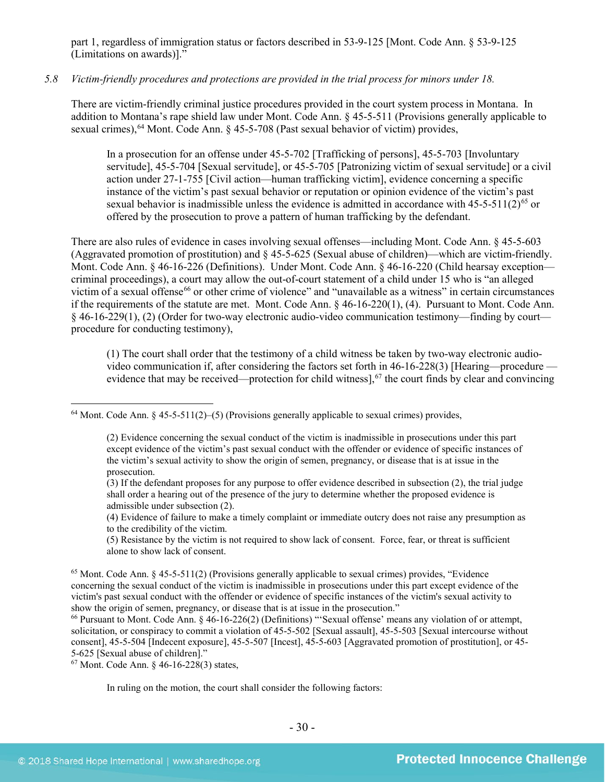part 1, regardless of immigration status or factors described in 53-9-125 [Mont. Code Ann. § 53-9-125 (Limitations on awards)]."

#### *5.8 Victim-friendly procedures and protections are provided in the trial process for minors under 18.*

There are victim-friendly criminal justice procedures provided in the court system process in Montana. In addition to Montana's rape shield law under Mont. Code Ann. § 45-5-511 (Provisions generally applicable to sexual crimes),  $64$  Mont. Code Ann.  $\S$  45-5-708 (Past sexual behavior of victim) provides,

In a prosecution for an offense under 45-5-702 [Trafficking of persons], 45-5-703 [Involuntary servitude], 45-5-704 [Sexual servitude], or 45-5-705 [Patronizing victim of sexual servitude] or a civil action under 27-1-755 [Civil action—human trafficking victim], evidence concerning a specific instance of the victim's past sexual behavior or reputation or opinion evidence of the victim's past sexual behavior is inadmissible unless the evidence is admitted in accordance with  $45-5-511(2)^{65}$  $45-5-511(2)^{65}$  $45-5-511(2)^{65}$  or offered by the prosecution to prove a pattern of human trafficking by the defendant.

There are also rules of evidence in cases involving sexual offenses—including Mont. Code Ann. § 45-5-603 (Aggravated promotion of prostitution) and § 45-5-625 (Sexual abuse of children)—which are victim-friendly. Mont. Code Ann. § 46-16-226 (Definitions). Under Mont. Code Ann. § 46-16-220 (Child hearsay exception criminal proceedings), a court may allow the out-of-court statement of a child under 15 who is "an alleged victim of a sexual offense<sup>[66](#page-29-2)</sup> or other crime of violence" and "unavailable as a witness" in certain circumstances if the requirements of the statute are met. Mont. Code Ann. § 46-16-220(1), (4). Pursuant to Mont. Code Ann. § 46-16-229(1), (2) (Order for two-way electronic audio-video communication testimony—finding by court procedure for conducting testimony),

(1) The court shall order that the testimony of a child witness be taken by two-way electronic audiovideo communication if, after considering the factors set forth in 46-16-228(3) [Hearing—procedure — evidence that may be received—protection for child witness],<sup>[67](#page-29-3)</sup> the court finds by clear and convincing

(4) Evidence of failure to make a timely complaint or immediate outcry does not raise any presumption as to the credibility of the victim.

(5) Resistance by the victim is not required to show lack of consent. Force, fear, or threat is sufficient alone to show lack of consent.

<span id="page-29-3"></span><sup>67</sup> Mont. Code Ann. § 46-16-228(3) states,

In ruling on the motion, the court shall consider the following factors:

<span id="page-29-0"></span> $64$  Mont. Code Ann. § 45-5-511(2)–(5) (Provisions generally applicable to sexual crimes) provides,

<sup>(2)</sup> Evidence concerning the sexual conduct of the victim is inadmissible in prosecutions under this part except evidence of the victim's past sexual conduct with the offender or evidence of specific instances of the victim's sexual activity to show the origin of semen, pregnancy, or disease that is at issue in the prosecution.

<sup>(3)</sup> If the defendant proposes for any purpose to offer evidence described in subsection (2), the trial judge shall order a hearing out of the presence of the jury to determine whether the proposed evidence is admissible under subsection (2).

<span id="page-29-1"></span><sup>65</sup> Mont. Code Ann. § 45-5-511(2) (Provisions generally applicable to sexual crimes) provides, "Evidence concerning the sexual conduct of the victim is inadmissible in prosecutions under this part except evidence of the victim's past sexual conduct with the offender or evidence of specific instances of the victim's sexual activity to show the origin of semen, pregnancy, or disease that is at issue in the prosecution."

<span id="page-29-2"></span><sup>66</sup> Pursuant to Mont. Code Ann. § 46-16-226(2) (Definitions) "'Sexual offense' means any violation of or attempt, solicitation, or conspiracy to commit a violation of 45-5-502 [Sexual assault], 45-5-503 [Sexual intercourse without consent], 45-5-504 [Indecent exposure], 45-5-507 [Incest], 45-5-603 [Aggravated promotion of prostitution], or 45- 5-625 [Sexual abuse of children]."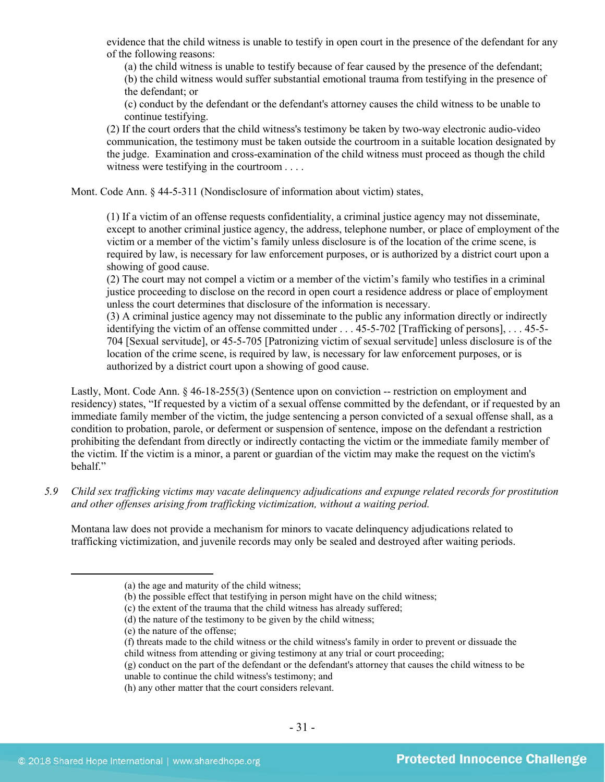evidence that the child witness is unable to testify in open court in the presence of the defendant for any of the following reasons:

(a) the child witness is unable to testify because of fear caused by the presence of the defendant; (b) the child witness would suffer substantial emotional trauma from testifying in the presence of the defendant; or

(c) conduct by the defendant or the defendant's attorney causes the child witness to be unable to continue testifying.

(2) If the court orders that the child witness's testimony be taken by two-way electronic audio-video communication, the testimony must be taken outside the courtroom in a suitable location designated by the judge. Examination and cross-examination of the child witness must proceed as though the child witness were testifying in the courtroom . . . .

Mont. Code Ann. § 44-5-311 (Nondisclosure of information about victim) states,

(1) If a victim of an offense requests confidentiality, a criminal justice agency may not disseminate, except to another criminal justice agency, the address, telephone number, or place of employment of the victim or a member of the victim's family unless disclosure is of the location of the crime scene, is required by law, is necessary for law enforcement purposes, or is authorized by a district court upon a showing of good cause.

(2) The court may not compel a victim or a member of the victim's family who testifies in a criminal justice proceeding to disclose on the record in open court a residence address or place of employment unless the court determines that disclosure of the information is necessary.

(3) A criminal justice agency may not disseminate to the public any information directly or indirectly identifying the victim of an offense committed under . . . 45-5-702 [Trafficking of persons], . . . 45-5- 704 [Sexual servitude], or 45-5-705 [Patronizing victim of sexual servitude] unless disclosure is of the location of the crime scene, is required by law, is necessary for law enforcement purposes, or is authorized by a district court upon a showing of good cause.

Lastly, Mont. Code Ann. § 46-18-255(3) (Sentence upon on conviction -- restriction on employment and residency) states, "If requested by a victim of a sexual offense committed by the defendant, or if requested by an immediate family member of the victim, the judge sentencing a person convicted of a sexual offense shall, as a condition to probation, parole, or deferment or suspension of sentence, impose on the defendant a restriction prohibiting the defendant from directly or indirectly contacting the victim or the immediate family member of the victim. If the victim is a minor, a parent or guardian of the victim may make the request on the victim's behalf."

*5.9 Child sex trafficking victims may vacate delinquency adjudications and expunge related records for prostitution and other offenses arising from trafficking victimization, without a waiting period.*

Montana law does not provide a mechanism for minors to vacate delinquency adjudications related to trafficking victimization, and juvenile records may only be sealed and destroyed after waiting periods.

(f) threats made to the child witness or the child witness's family in order to prevent or dissuade the child witness from attending or giving testimony at any trial or court proceeding;

(h) any other matter that the court considers relevant.

 $\overline{a}$ 

<sup>(</sup>a) the age and maturity of the child witness;

<sup>(</sup>b) the possible effect that testifying in person might have on the child witness;

<sup>(</sup>c) the extent of the trauma that the child witness has already suffered;

<sup>(</sup>d) the nature of the testimony to be given by the child witness;

<sup>(</sup>e) the nature of the offense;

<sup>(</sup>g) conduct on the part of the defendant or the defendant's attorney that causes the child witness to be unable to continue the child witness's testimony; and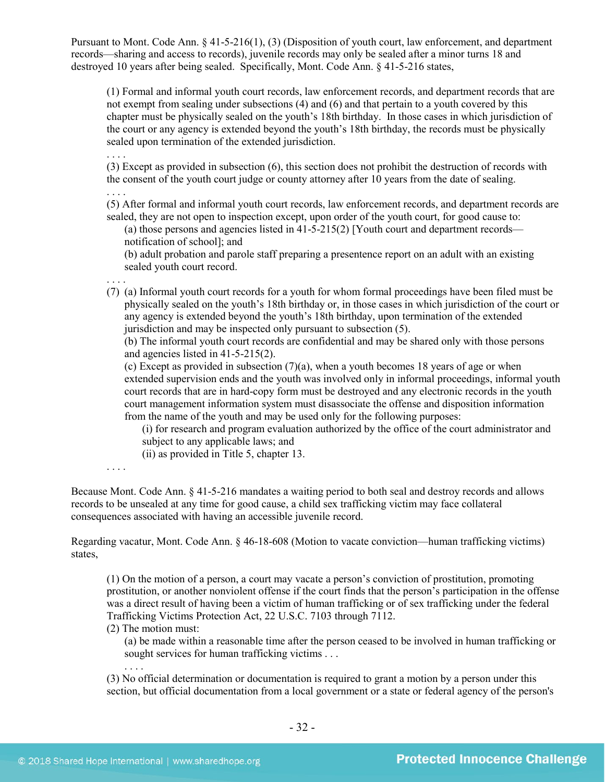Pursuant to Mont. Code Ann. § 41-5-216(1), (3) (Disposition of youth court, law enforcement, and department records—sharing and access to records), juvenile records may only be sealed after a minor turns 18 and destroyed 10 years after being sealed. Specifically, Mont. Code Ann. § 41-5-216 states,

(1) Formal and informal youth court records, law enforcement records, and department records that are not exempt from sealing under subsections (4) and (6) and that pertain to a youth covered by this chapter must be physically sealed on the youth's 18th birthday. In those cases in which jurisdiction of the court or any agency is extended beyond the youth's 18th birthday, the records must be physically sealed upon termination of the extended jurisdiction.

(3) Except as provided in subsection (6), this section does not prohibit the destruction of records with the consent of the youth court judge or county attorney after 10 years from the date of sealing.

. . . . (5) After formal and informal youth court records, law enforcement records, and department records are sealed, they are not open to inspection except, upon order of the youth court, for good cause to:

(a) those persons and agencies listed in [41-5-215\(](http://data.opi.mt.gov/bills/mca/41/5/41-5-215.htm)2) [Youth court and department records notification of school]; and

(b) adult probation and parole staff preparing a presentence report on an adult with an existing sealed youth court record.

. . . . (7) (a) Informal youth court records for a youth for whom formal proceedings have been filed must be physically sealed on the youth's 18th birthday or, in those cases in which jurisdiction of the court or any agency is extended beyond the youth's 18th birthday, upon termination of the extended jurisdiction and may be inspected only pursuant to subsection (5).

(b) The informal youth court records are confidential and may be shared only with those persons and agencies listed in 41-5-215(2).

(c) Except as provided in subsection  $(7)(a)$ , when a youth becomes 18 years of age or when extended supervision ends and the youth was involved only in informal proceedings, informal youth court records that are in hard-copy form must be destroyed and any electronic records in the youth court management information system must disassociate the offense and disposition information from the name of the youth and may be used only for the following purposes:

(i) for research and program evaluation authorized by the office of the court administrator and subject to any applicable laws; and

(ii) as provided in Title 5, chapter 13.

. . . .

. . . .

Because Mont. Code Ann. § 41-5-216 mandates a waiting period to both seal and destroy records and allows records to be unsealed at any time for good cause, a child sex trafficking victim may face collateral consequences associated with having an accessible juvenile record.

Regarding vacatur, Mont. Code Ann. § 46-18-608 (Motion to vacate conviction—human trafficking victims) states,

(1) On the motion of a person, a court may vacate a person's conviction of prostitution, promoting prostitution, or another nonviolent offense if the court finds that the person's participation in the offense was a direct result of having been a victim of human trafficking or of sex trafficking under the federal Trafficking Victims Protection Act, 22 U.S.C. 7103 through 7112.

(2) The motion must:

(a) be made within a reasonable time after the person ceased to be involved in human trafficking or sought services for human trafficking victims . . .

(3) No official determination or documentation is required to grant a motion by a person under this section, but official documentation from a local government or a state or federal agency of the person's

. . . .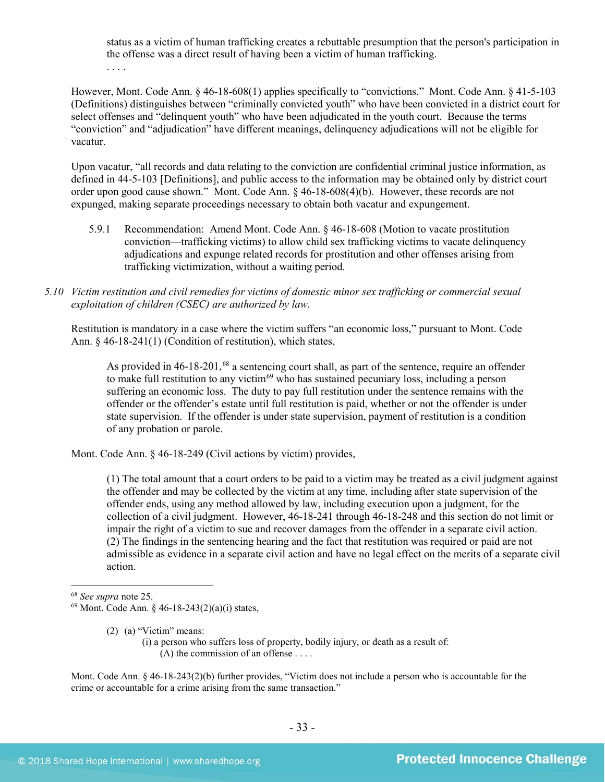status as a victim of human trafficking creates a rebuttable presumption that the person's participation in the offense was a direct result of having been a victim of human trafficking.

. . . .

However, Mont. Code Ann. § 46-18-608(1) applies specifically to "convictions." Mont. Code Ann. § 41-5-103 (Definitions) distinguishes between "criminally convicted youth" who have been convicted in a district court for select offenses and "delinquent youth" who have been adjudicated in the youth court. Because the terms "conviction" and "adjudication" have different meanings, delinquency adjudications will not be eligible for vacatur.

Upon vacatur, "all records and data relating to the conviction are confidential criminal justice information, as defined in 44-5-103 [Definitions], and public access to the information may be obtained only by district court order upon good cause shown." Mont. Code Ann. § 46-18-608(4)(b). However, these records are not expunged, making separate proceedings necessary to obtain both vacatur and expungement.

- 5.9.1 Recommendation: Amend Mont. Code Ann. § 46-18-608 (Motion to vacate prostitution conviction—trafficking victims) to allow child sex trafficking victims to vacate delinquency adjudications and expunge related records for prostitution and other offenses arising from trafficking victimization, without a waiting period.
- *5.10 Victim restitution and civil remedies for victims of domestic minor sex trafficking or commercial sexual exploitation of children (CSEC) are authorized by law.*

Restitution is mandatory in a case where the victim suffers "an economic loss," pursuant to Mont. Code Ann. § 46-18-241(1) (Condition of restitution), which states,

As provided in 46-18-201,<sup>[68](#page-32-0)</sup> a sentencing court shall, as part of the sentence, require an offender to make full restitution to any victim $69$  who has sustained pecuniary loss, including a person suffering an economic loss. The duty to pay full restitution under the sentence remains with the offender or the offender's estate until full restitution is paid, whether or not the offender is under state supervision. If the offender is under state supervision, payment of restitution is a condition of any probation or parole.

Mont. Code Ann. § 46-18-249 (Civil actions by victim) provides,

(1) The total amount that a court orders to be paid to a victim may be treated as a civil judgment against the offender and may be collected by the victim at any time, including after state supervision of the offender ends, using any method allowed by law, including execution upon a judgment, for the collection of a civil judgment. However, 46-18-241 through 46-18-248 and this section do not limit or impair the right of a victim to sue and recover damages from the offender in a separate civil action. (2) The findings in the sentencing hearing and the fact that restitution was required or paid are not admissible as evidence in a separate civil action and have no legal effect on the merits of a separate civil action.

(2) (a) "Victim" means:

(i) a person who suffers loss of property, bodily injury, or death as a result of:  $(A)$  the commission of an offense ....

Mont. Code Ann. § 46-18-243(2)(b) further provides, "Victim does not include a person who is accountable for the crime or accountable for a crime arising from the same transaction."

<span id="page-32-0"></span> <sup>68</sup> *See supra* note [25.](#page-11-2)

<span id="page-32-1"></span><sup>69</sup> Mont. Code Ann. § 46-18-243(2)(a)(i) states,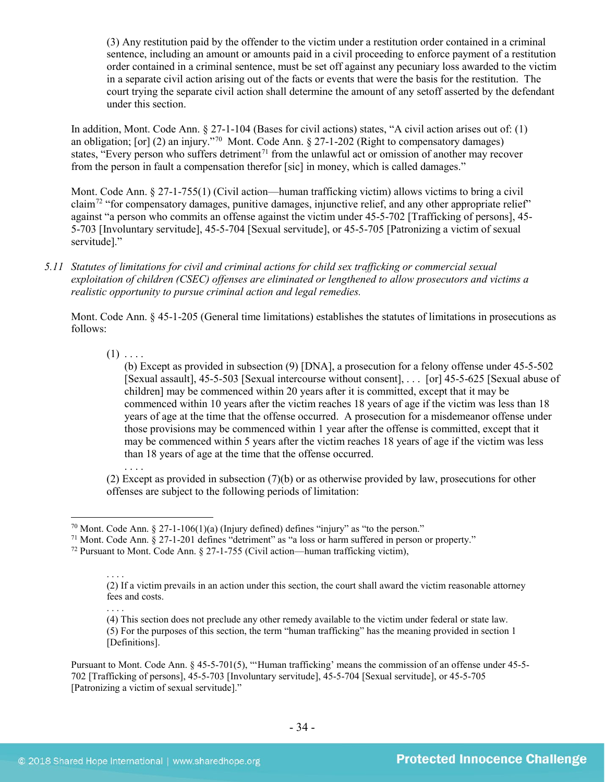(3) Any restitution paid by the offender to the victim under a restitution order contained in a criminal sentence, including an amount or amounts paid in a civil proceeding to enforce payment of a restitution order contained in a criminal sentence, must be set off against any pecuniary loss awarded to the victim in a separate civil action arising out of the facts or events that were the basis for the restitution. The court trying the separate civil action shall determine the amount of any setoff asserted by the defendant under this section.

In addition, Mont. Code Ann. § 27-1-104 (Bases for civil actions) states, "A civil action arises out of: (1) an obligation; [or] (2) an injury."[70](#page-33-0) Mont. Code Ann. § 27-1-202 (Right to compensatory damages) states, "Every person who suffers detriment<sup>[71](#page-33-1)</sup> from the unlawful act or omission of another may recover from the person in fault a compensation therefor [sic] in money, which is called damages."

Mont. Code Ann. § 27-1-755(1) (Civil action—human trafficking victim) allows victims to bring a civil claim<sup>[72](#page-33-2)</sup> "for compensatory damages, punitive damages, injunctive relief, and any other appropriate relief" against "a person who commits an offense against the victim under 45-5-702 [Trafficking of persons], 45- 5-703 [Involuntary servitude], 45-5-704 [Sexual servitude], or 45-5-705 [Patronizing a victim of sexual servitude]."

*5.11 Statutes of limitations for civil and criminal actions for child sex trafficking or commercial sexual exploitation of children (CSEC) offenses are eliminated or lengthened to allow prosecutors and victims a realistic opportunity to pursue criminal action and legal remedies.*

Mont. Code Ann. § 45-1-205 (General time limitations) establishes the statutes of limitations in prosecutions as follows:

 $(1)$  . . . .

(b) Except as provided in subsection (9) [DNA], a prosecution for a felony offense under 45-5-502 [Sexual assault], 45-5-503 [Sexual intercourse without consent], . . . [or] 45-5-625 [Sexual abuse of children] may be commenced within 20 years after it is committed, except that it may be commenced within 10 years after the victim reaches 18 years of age if the victim was less than 18 years of age at the time that the offense occurred. A prosecution for a misdemeanor offense under those provisions may be commenced within 1 year after the offense is committed, except that it may be commenced within 5 years after the victim reaches 18 years of age if the victim was less than 18 years of age at the time that the offense occurred.

. . . . (2) Except as provided in subsection (7)(b) or as otherwise provided by law, prosecutions for other offenses are subject to the following periods of limitation:

<span id="page-33-1"></span><sup>71</sup> Mont. Code Ann. § 27-1-201 defines "detriment" as "a loss or harm suffered in person or property."

<span id="page-33-0"></span><sup>&</sup>lt;sup>70</sup> Mont. Code Ann. § 27-1-106(1)(a) (Injury defined) defines "injury" as "to the person."

<span id="page-33-2"></span><sup>&</sup>lt;sup>72</sup> Pursuant to Mont. Code Ann. § 27-1-755 (Civil action—human trafficking victim),

<sup>. . . .</sup> (2) If a victim prevails in an action under this section, the court shall award the victim reasonable attorney fees and costs.

<sup>. . . .</sup> (4) This section does not preclude any other remedy available to the victim under federal or state law. (5) For the purposes of this section, the term "human trafficking" has the meaning provided in section 1 [Definitions].

Pursuant to Mont. Code Ann. § 45-5-701(5), "'Human trafficking' means the commission of an offense under 45-5- 702 [Trafficking of persons], 45-5-703 [Involuntary servitude], 45-5-704 [Sexual servitude], or 45-5-705 [Patronizing a victim of sexual servitude]."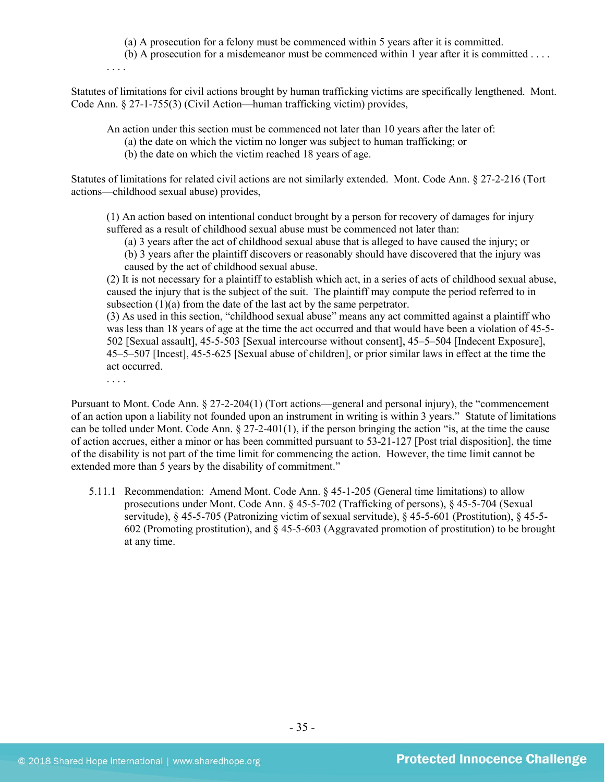(a) A prosecution for a felony must be commenced within 5 years after it is committed.

(b) A prosecution for a misdemeanor must be commenced within 1 year after it is committed . . . .

. . . .

Statutes of limitations for civil actions brought by human trafficking victims are specifically lengthened. Mont. Code Ann. § 27-1-755(3) (Civil Action—human trafficking victim) provides,

An action under this section must be commenced not later than 10 years after the later of:

- (a) the date on which the victim no longer was subject to human trafficking; or
- (b) the date on which the victim reached 18 years of age.

Statutes of limitations for related civil actions are not similarly extended. Mont. Code Ann. § 27-2-216 (Tort actions—childhood sexual abuse) provides,

(1) An action based on intentional conduct brought by a person for recovery of damages for injury suffered as a result of childhood sexual abuse must be commenced not later than:

(a) 3 years after the act of childhood sexual abuse that is alleged to have caused the injury; or

(b) 3 years after the plaintiff discovers or reasonably should have discovered that the injury was caused by the act of childhood sexual abuse.

(2) It is not necessary for a plaintiff to establish which act, in a series of acts of childhood sexual abuse, caused the injury that is the subject of the suit. The plaintiff may compute the period referred to in subsection  $(1)(a)$  from the date of the last act by the same perpetrator.

(3) As used in this section, "childhood sexual abuse" means any act committed against a plaintiff who was less than 18 years of age at the time the act occurred and that would have been a violation of 45-5- 502 [Sexual assault], 45-5-503 [Sexual intercourse without consent], 45–5–504 [Indecent Exposure], 45–5–507 [Incest], 45-5-625 [Sexual abuse of children], or prior similar laws in effect at the time the act occurred.

. . . .

Pursuant to Mont. Code Ann. § 27-2-204(1) (Tort actions—general and personal injury), the "commencement of an action upon a liability not founded upon an instrument in writing is within 3 years." Statute of limitations can be tolled under Mont. Code Ann. § 27-2-401(1), if the person bringing the action "is, at the time the cause of action accrues, either a minor or has been committed pursuant to 53-21-127 [Post trial disposition], the time of the disability is not part of the time limit for commencing the action. However, the time limit cannot be extended more than 5 years by the disability of commitment."

5.11.1 Recommendation: Amend Mont. Code Ann. § 45-1-205 (General time limitations) to allow prosecutions under Mont. Code Ann. § 45-5-702 (Trafficking of persons), § 45-5-704 (Sexual servitude), § 45-5-705 (Patronizing victim of sexual servitude), § 45-5-601 (Prostitution), § 45-5- 602 (Promoting prostitution), and § 45-5-603 (Aggravated promotion of prostitution) to be brought at any time.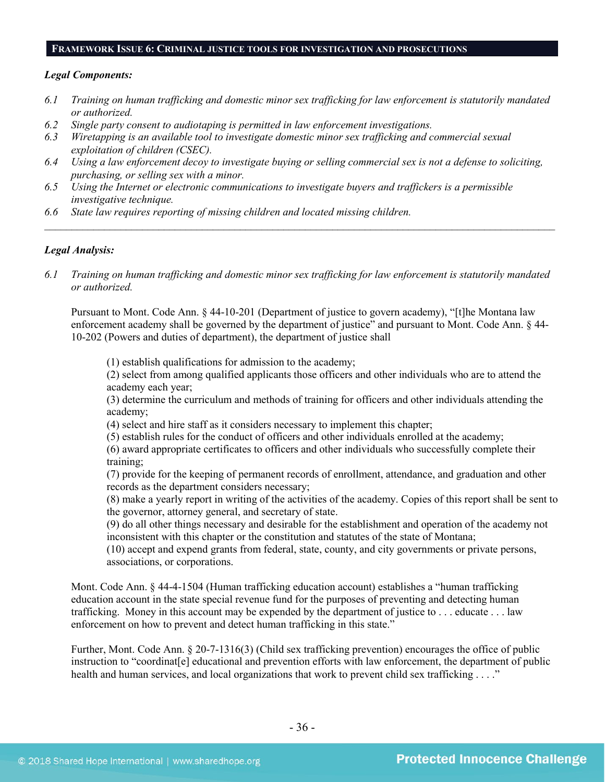#### **FRAMEWORK ISSUE 6: CRIMINAL JUSTICE TOOLS FOR INVESTIGATION AND PROSECUTIONS**

#### *Legal Components:*

- *6.1 Training on human trafficking and domestic minor sex trafficking for law enforcement is statutorily mandated or authorized.*
- *6.2 Single party consent to audiotaping is permitted in law enforcement investigations.*
- *6.3 Wiretapping is an available tool to investigate domestic minor sex trafficking and commercial sexual exploitation of children (CSEC).*
- *6.4 Using a law enforcement decoy to investigate buying or selling commercial sex is not a defense to soliciting, purchasing, or selling sex with a minor.*
- *6.5 Using the Internet or electronic communications to investigate buyers and traffickers is a permissible investigative technique.*
- *6.6 State law requires reporting of missing children and located missing children.*

#### *Legal Analysis:*

*6.1 Training on human trafficking and domestic minor sex trafficking for law enforcement is statutorily mandated or authorized.*

*\_\_\_\_\_\_\_\_\_\_\_\_\_\_\_\_\_\_\_\_\_\_\_\_\_\_\_\_\_\_\_\_\_\_\_\_\_\_\_\_\_\_\_\_\_\_\_\_\_\_\_\_\_\_\_\_\_\_\_\_\_\_\_\_\_\_\_\_\_\_\_\_\_\_\_\_\_\_\_\_\_\_\_\_\_\_\_\_\_\_\_\_\_\_*

Pursuant to Mont. Code Ann. § 44-10-201 (Department of justice to govern academy), "[t]he Montana law enforcement academy shall be governed by the department of justice" and pursuant to Mont. Code Ann. § 44-10-202 (Powers and duties of department), the department of justice shall

(1) establish qualifications for admission to the academy;

(2) select from among qualified applicants those officers and other individuals who are to attend the academy each year;

(3) determine the curriculum and methods of training for officers and other individuals attending the academy;

(4) select and hire staff as it considers necessary to implement this chapter;

(5) establish rules for the conduct of officers and other individuals enrolled at the academy;

(6) award appropriate certificates to officers and other individuals who successfully complete their training;

(7) provide for the keeping of permanent records of enrollment, attendance, and graduation and other records as the department considers necessary;

(8) make a yearly report in writing of the activities of the academy. Copies of this report shall be sent to the governor, attorney general, and secretary of state.

(9) do all other things necessary and desirable for the establishment and operation of the academy not inconsistent with this chapter or the constitution and statutes of the state of Montana;

(10) accept and expend grants from federal, state, county, and city governments or private persons, associations, or corporations.

Mont. Code Ann. § 44-4-1504 (Human trafficking education account) establishes a "human trafficking education account in the state special revenue fund for the purposes of preventing and detecting human trafficking. Money in this account may be expended by the department of justice to . . . educate . . . law enforcement on how to prevent and detect human trafficking in this state."

Further, Mont. Code Ann. § 20-7-1316(3) (Child sex trafficking prevention) encourages the office of public instruction to "coordinat[e] educational and prevention efforts with law enforcement, the department of public health and human services, and local organizations that work to prevent child sex trafficking . . . ."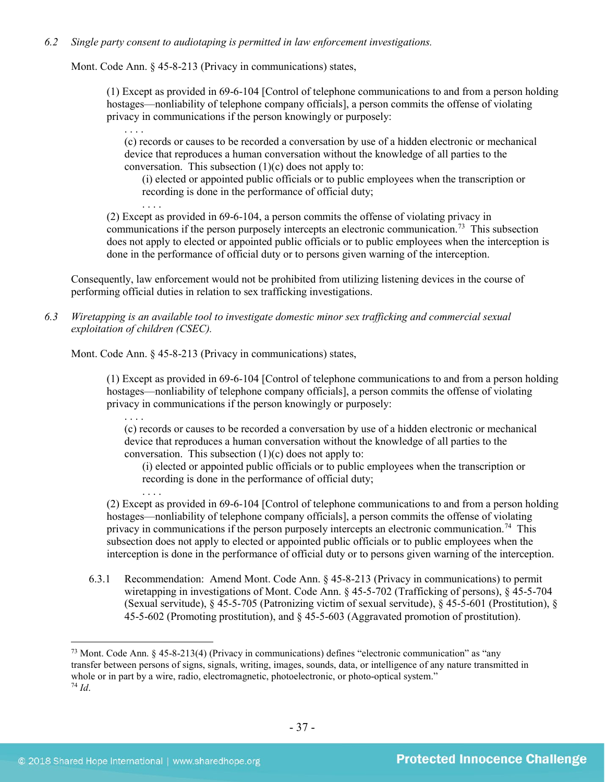# *6.2 Single party consent to audiotaping is permitted in law enforcement investigations.*

Mont. Code Ann. § 45-8-213 (Privacy in communications) states,

. . . .

(1) Except as provided in 69-6-104 [Control of telephone communications to and from a person holding hostages—nonliability of telephone company officials], a person commits the offense of violating privacy in communications if the person knowingly or purposely:

. . . . (c) records or causes to be recorded a conversation by use of a hidden electronic or mechanical device that reproduces a human conversation without the knowledge of all parties to the conversation. This subsection  $(1)(c)$  does not apply to:

(i) elected or appointed public officials or to public employees when the transcription or recording is done in the performance of official duty;

(2) Except as provided in [69-6-104,](http://data.opi.mt.gov/bills/mca/69/6/69-6-104.htm) a person commits the offense of violating privacy in communications if the person purposely intercepts an electronic communication.[73](#page-36-0) This subsection does not apply to elected or appointed public officials or to public employees when the interception is done in the performance of official duty or to persons given warning of the interception.

Consequently, law enforcement would not be prohibited from utilizing listening devices in the course of performing official duties in relation to sex trafficking investigations.

*6.3 Wiretapping is an available tool to investigate domestic minor sex trafficking and commercial sexual exploitation of children (CSEC).* 

Mont. Code Ann. § 45-8-213 (Privacy in communications) states,

(1) Except as provided in [69-6-104](http://data.opi.mt.gov/bills/mca/69/6/69-6-104.htm) [Control of telephone communications to and from a person holding hostages—nonliability of telephone company officials], a person commits the offense of violating privacy in communications if the person knowingly or purposely:

. . . . (c) records or causes to be recorded a conversation by use of a hidden electronic or mechanical device that reproduces a human conversation without the knowledge of all parties to the conversation. This subsection  $(1)(c)$  does not apply to:

(i) elected or appointed public officials or to public employees when the transcription or recording is done in the performance of official duty;

. . . . (2) Except as provided in [69-6-104](http://data.opi.mt.gov/bills/mca/69/6/69-6-104.htm) [Control of telephone communications to and from a person holding hostages—nonliability of telephone company officials], a person commits the offense of violating privacy in communications if the person purposely intercepts an electronic communication.<sup>74</sup> This subsection does not apply to elected or appointed public officials or to public employees when the interception is done in the performance of official duty or to persons given warning of the interception.

6.3.1 Recommendation: Amend Mont. Code Ann. § 45-8-213 (Privacy in communications) to permit wiretapping in investigations of Mont. Code Ann. § 45-5-702 (Trafficking of persons), § 45-5-704 (Sexual servitude), § 45-5-705 (Patronizing victim of sexual servitude), § 45-5-601 (Prostitution), § 45-5-602 (Promoting prostitution), and § 45-5-603 (Aggravated promotion of prostitution).

<span id="page-36-1"></span><span id="page-36-0"></span> <sup>73</sup> Mont. Code Ann. § 45-8-213(4) (Privacy in communications) defines "electronic communication" as "any transfer between persons of signs, signals, writing, images, sounds, data, or intelligence of any nature transmitted in whole or in part by a wire, radio, electromagnetic, photoelectronic, or photo-optical system." 74 *Id*.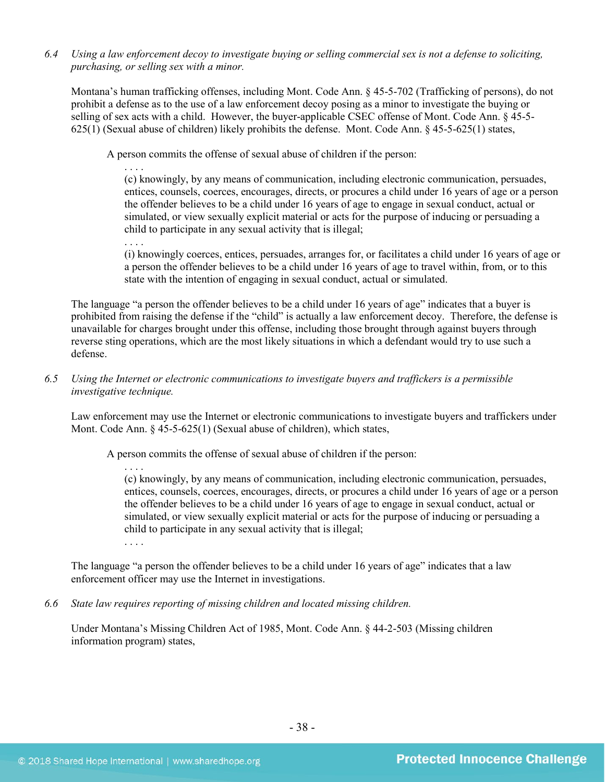*6.4 Using a law enforcement decoy to investigate buying or selling commercial sex is not a defense to soliciting, purchasing, or selling sex with a minor.*

Montana's human trafficking offenses, including Mont. Code Ann. § 45-5-702 (Trafficking of persons), do not prohibit a defense as to the use of a law enforcement decoy posing as a minor to investigate the buying or selling of sex acts with a child. However, the buyer-applicable CSEC offense of Mont. Code Ann. § 45-5- 625(1) (Sexual abuse of children) likely prohibits the defense. Mont. Code Ann. § 45-5-625(1) states,

A person commits the offense of sexual abuse of children if the person:

. . . . (c) knowingly, by any means of communication, including electronic communication, persuades, entices, counsels, coerces, encourages, directs, or procures a child under 16 years of age or a person the offender believes to be a child under 16 years of age to engage in sexual conduct, actual or simulated, or view sexually explicit material or acts for the purpose of inducing or persuading a child to participate in any sexual activity that is illegal;

. . . . (i) knowingly coerces, entices, persuades, arranges for, or facilitates a child under 16 years of age or a person the offender believes to be a child under 16 years of age to travel within, from, or to this state with the intention of engaging in sexual conduct, actual or simulated.

The language "a person the offender believes to be a child under 16 years of age" indicates that a buyer is prohibited from raising the defense if the "child" is actually a law enforcement decoy. Therefore, the defense is unavailable for charges brought under this offense, including those brought through against buyers through reverse sting operations, which are the most likely situations in which a defendant would try to use such a defense.

#### *6.5 Using the Internet or electronic communications to investigate buyers and traffickers is a permissible investigative technique.*

Law enforcement may use the Internet or electronic communications to investigate buyers and traffickers under Mont. Code Ann. § 45-5-625(1) (Sexual abuse of children), which states,

A person commits the offense of sexual abuse of children if the person:

. . . . (c) knowingly, by any means of communication, including electronic communication, persuades, entices, counsels, coerces, encourages, directs, or procures a child under 16 years of age or a person the offender believes to be a child under 16 years of age to engage in sexual conduct, actual or simulated, or view sexually explicit material or acts for the purpose of inducing or persuading a child to participate in any sexual activity that is illegal;

. . . .

The language "a person the offender believes to be a child under 16 years of age" indicates that a law enforcement officer may use the Internet in investigations.

*6.6 State law requires reporting of missing children and located missing children.*

Under Montana's Missing Children Act of 1985, Mont. Code Ann. § 44-2-503 (Missing children information program) states,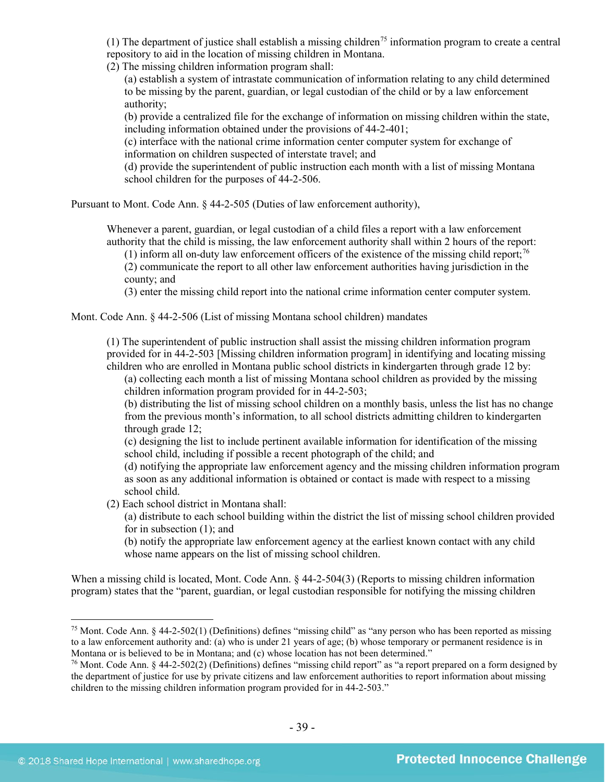(1) The department of justice shall establish a missing children<sup>[75](#page-38-0)</sup> information program to create a central repository to aid in the location of missing children in Montana.

(2) The missing children information program shall:

(a) establish a system of intrastate communication of information relating to any child determined to be missing by the parent, guardian, or legal custodian of the child or by a law enforcement authority;

(b) provide a centralized file for the exchange of information on missing children within the state, including information obtained under the provisions of 44-2-401;

(c) interface with the national crime information center computer system for exchange of information on children suspected of interstate travel; and

(d) provide the superintendent of public instruction each month with a list of missing Montana school children for the purposes of 44-2-506.

Pursuant to Mont. Code Ann. § 44-2-505 (Duties of law enforcement authority),

Whenever a parent, guardian, or legal custodian of a child files a report with a law enforcement authority that the child is missing, the law enforcement authority shall within 2 hours of the report:

(1) inform all on-duty law enforcement officers of the existence of the missing child report;<sup>[76](#page-38-1)</sup> (2) communicate the report to all other law enforcement authorities having jurisdiction in the county; and

(3) enter the missing child report into the national crime information center computer system.

Mont. Code Ann. § 44-2-506 (List of missing Montana school children) mandates

(1) The superintendent of public instruction shall assist the missing children information program provided for in 44-2-503 [Missing children information program] in identifying and locating missing children who are enrolled in Montana public school districts in kindergarten through grade 12 by:

(a) collecting each month a list of missing Montana school children as provided by the missing children information program provided for in [44-2-503;](http://data.opi.mt.gov/bills/mca/44/2/44-2-503.htm)

(b) distributing the list of missing school children on a monthly basis, unless the list has no change from the previous month's information, to all school districts admitting children to kindergarten through grade 12;

(c) designing the list to include pertinent available information for identification of the missing school child, including if possible a recent photograph of the child; and

(d) notifying the appropriate law enforcement agency and the missing children information program as soon as any additional information is obtained or contact is made with respect to a missing school child.

(2) Each school district in Montana shall:

(a) distribute to each school building within the district the list of missing school children provided for in subsection (1); and

(b) notify the appropriate law enforcement agency at the earliest known contact with any child whose name appears on the list of missing school children.

When a missing child is located, Mont. Code Ann.  $\frac{1}{2}$  44-2-504(3) (Reports to missing children information program) states that the "parent, guardian, or legal custodian responsible for notifying the missing children

<span id="page-38-0"></span> <sup>75</sup> Mont. Code Ann. § 44-2-502(1) (Definitions) defines "missing child" as "any person who has been reported as missing to a law enforcement authority and: (a) who is under 21 years of age; (b) whose temporary or permanent residence is in Montana or is believed to be in Montana; and (c) whose location has not been determined."

<span id="page-38-1"></span><sup>&</sup>lt;sup>76</sup> Mont. Code Ann. § 44-2-502(2) (Definitions) defines "missing child report" as "a report prepared on a form designed by the department of justice for use by private citizens and law enforcement authorities to report information about missing children to the missing children information program provided for in 44-2-503."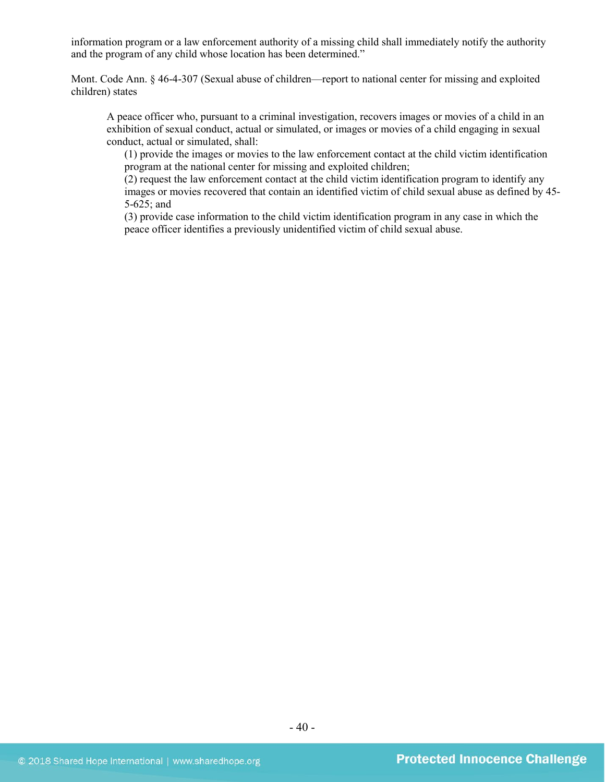information program or a law enforcement authority of a missing child shall immediately notify the authority and the program of any child whose location has been determined."

Mont. Code Ann. § 46-4-307 (Sexual abuse of children—report to national center for missing and exploited children) states

A peace officer who, pursuant to a criminal investigation, recovers images or movies of a child in an exhibition of sexual conduct, actual or simulated, or images or movies of a child engaging in sexual conduct, actual or simulated, shall:

(1) provide the images or movies to the law enforcement contact at the child victim identification program at the national center for missing and exploited children;

(2) request the law enforcement contact at the child victim identification program to identify any images or movies recovered that contain an identified victim of child sexual abuse as defined by [45-](http://data.opi.mt.gov/bills/mca/45/5/45-5-625.htm) [5-625;](http://data.opi.mt.gov/bills/mca/45/5/45-5-625.htm) and

(3) provide case information to the child victim identification program in any case in which the peace officer identifies a previously unidentified victim of child sexual abuse.